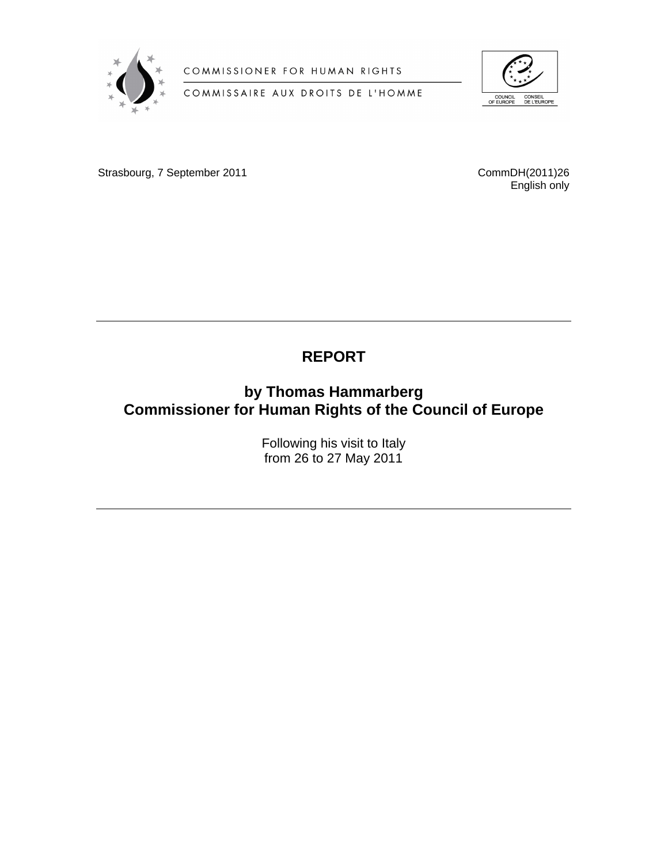

COMMISSIONER FOR HUMAN RIGHTS

COMMISSAIRE AUX DROITS DE L'HOMME



Strasbourg, 7 September 2011 **CommDH(2011)26** CommDH(2011)26

English only

# **REPORT**

# **by Thomas Hammarberg Commissioner for Human Rights of the Council of Europe**

Following his visit to Italy from 26 to 27 May 2011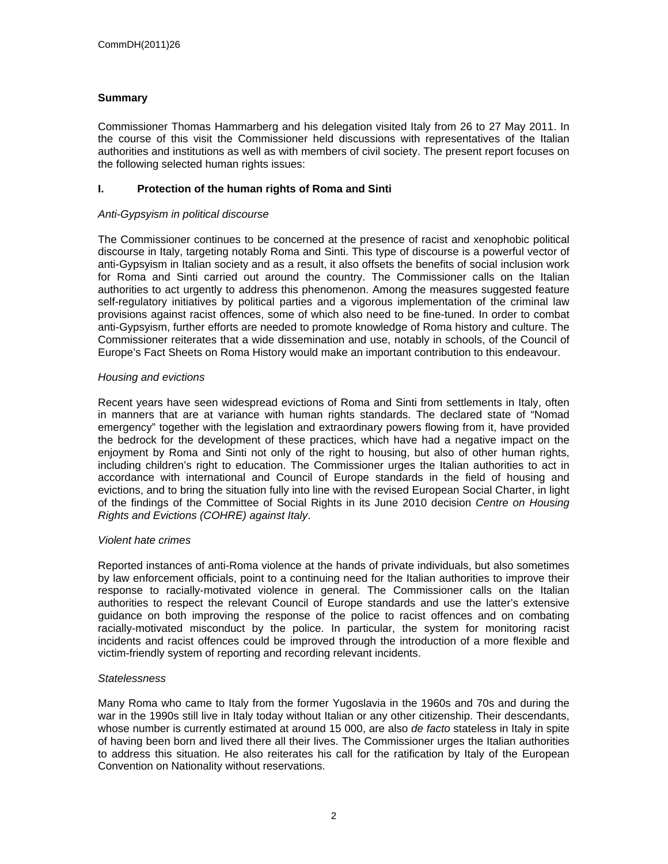## **Summary**

Commissioner Thomas Hammarberg and his delegation visited Italy from 26 to 27 May 2011. In the course of this visit the Commissioner held discussions with representatives of the Italian authorities and institutions as well as with members of civil society. The present report focuses on the following selected human rights issues:

#### **I. Protection of the human rights of Roma and Sinti**

#### *Anti-Gypsyism in political discourse*

The Commissioner continues to be concerned at the presence of racist and xenophobic political discourse in Italy, targeting notably Roma and Sinti. This type of discourse is a powerful vector of anti-Gypsyism in Italian society and as a result, it also offsets the benefits of social inclusion work for Roma and Sinti carried out around the country. The Commissioner calls on the Italian authorities to act urgently to address this phenomenon. Among the measures suggested feature self-regulatory initiatives by political parties and a vigorous implementation of the criminal law provisions against racist offences, some of which also need to be fine-tuned. In order to combat anti-Gypsyism, further efforts are needed to promote knowledge of Roma history and culture. The Commissioner reiterates that a wide dissemination and use, notably in schools, of the Council of Europe's Fact Sheets on Roma History would make an important contribution to this endeavour.

#### *Housing and evictions*

Recent years have seen widespread evictions of Roma and Sinti from settlements in Italy, often in manners that are at variance with human rights standards. The declared state of "Nomad emergency" together with the legislation and extraordinary powers flowing from it, have provided the bedrock for the development of these practices, which have had a negative impact on the enjoyment by Roma and Sinti not only of the right to housing, but also of other human rights, including children's right to education. The Commissioner urges the Italian authorities to act in accordance with international and Council of Europe standards in the field of housing and evictions, and to bring the situation fully into line with the revised European Social Charter, in light of the findings of the Committee of Social Rights in its June 2010 decision *Centre on Housing Rights and Evictions (COHRE) against Italy*.

#### *Violent hate crimes*

Reported instances of anti-Roma violence at the hands of private individuals, but also sometimes by law enforcement officials, point to a continuing need for the Italian authorities to improve their response to racially-motivated violence in general. The Commissioner calls on the Italian authorities to respect the relevant Council of Europe standards and use the latter's extensive guidance on both improving the response of the police to racist offences and on combating racially-motivated misconduct by the police. In particular, the system for monitoring racist incidents and racist offences could be improved through the introduction of a more flexible and victim-friendly system of reporting and recording relevant incidents.

#### *Statelessness*

Many Roma who came to Italy from the former Yugoslavia in the 1960s and 70s and during the war in the 1990s still live in Italy today without Italian or any other citizenship. Their descendants, whose number is currently estimated at around 15 000, are also *de facto* stateless in Italy in spite of having been born and lived there all their lives. The Commissioner urges the Italian authorities to address this situation. He also reiterates his call for the ratification by Italy of the European Convention on Nationality without reservations.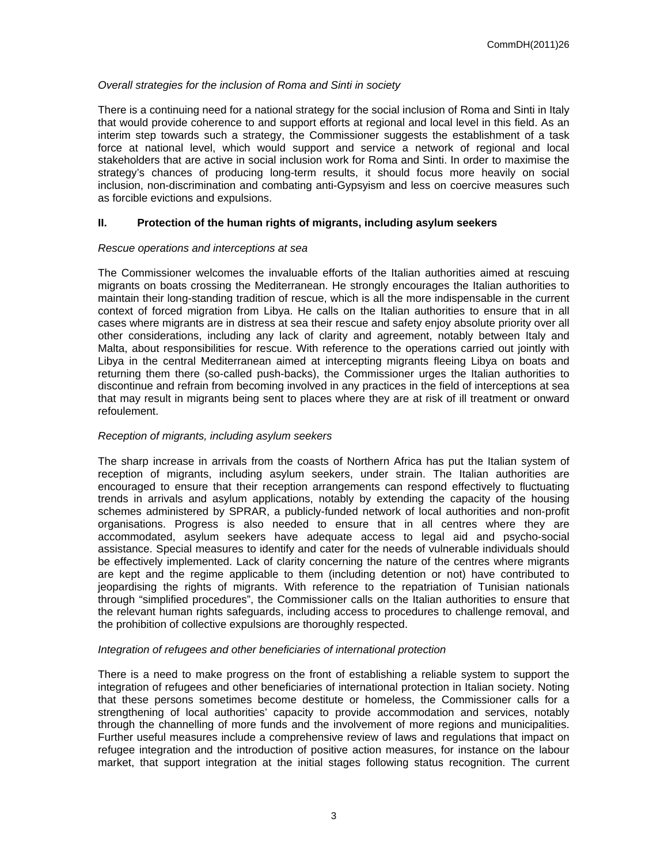#### *Overall strategies for the inclusion of Roma and Sinti in society*

There is a continuing need for a national strategy for the social inclusion of Roma and Sinti in Italy that would provide coherence to and support efforts at regional and local level in this field. As an interim step towards such a strategy, the Commissioner suggests the establishment of a task force at national level, which would support and service a network of regional and local stakeholders that are active in social inclusion work for Roma and Sinti. In order to maximise the strategy's chances of producing long-term results, it should focus more heavily on social inclusion, non-discrimination and combating anti-Gypsyism and less on coercive measures such as forcible evictions and expulsions.

#### **II. Protection of the human rights of migrants, including asylum seekers**

#### *Rescue operations and interceptions at sea*

The Commissioner welcomes the invaluable efforts of the Italian authorities aimed at rescuing migrants on boats crossing the Mediterranean. He strongly encourages the Italian authorities to maintain their long-standing tradition of rescue, which is all the more indispensable in the current context of forced migration from Libya. He calls on the Italian authorities to ensure that in all cases where migrants are in distress at sea their rescue and safety enjoy absolute priority over all other considerations, including any lack of clarity and agreement, notably between Italy and Malta, about responsibilities for rescue. With reference to the operations carried out jointly with Libya in the central Mediterranean aimed at intercepting migrants fleeing Libya on boats and returning them there (so-called push-backs), the Commissioner urges the Italian authorities to discontinue and refrain from becoming involved in any practices in the field of interceptions at sea that may result in migrants being sent to places where they are at risk of ill treatment or onward refoulement.

#### *Reception of migrants, including asylum seekers*

The sharp increase in arrivals from the coasts of Northern Africa has put the Italian system of reception of migrants, including asylum seekers, under strain. The Italian authorities are encouraged to ensure that their reception arrangements can respond effectively to fluctuating trends in arrivals and asylum applications, notably by extending the capacity of the housing schemes administered by SPRAR, a publicly-funded network of local authorities and non-profit organisations. Progress is also needed to ensure that in all centres where they are accommodated, asylum seekers have adequate access to legal aid and psycho-social assistance. Special measures to identify and cater for the needs of vulnerable individuals should be effectively implemented. Lack of clarity concerning the nature of the centres where migrants are kept and the regime applicable to them (including detention or not) have contributed to jeopardising the rights of migrants. With reference to the repatriation of Tunisian nationals through "simplified procedures", the Commissioner calls on the Italian authorities to ensure that the relevant human rights safeguards, including access to procedures to challenge removal, and the prohibition of collective expulsions are thoroughly respected.

#### *Integration of refugees and other beneficiaries of international protection*

There is a need to make progress on the front of establishing a reliable system to support the integration of refugees and other beneficiaries of international protection in Italian society. Noting that these persons sometimes become destitute or homeless, the Commissioner calls for a strengthening of local authorities' capacity to provide accommodation and services, notably through the channelling of more funds and the involvement of more regions and municipalities. Further useful measures include a comprehensive review of laws and regulations that impact on refugee integration and the introduction of positive action measures, for instance on the labour market, that support integration at the initial stages following status recognition. The current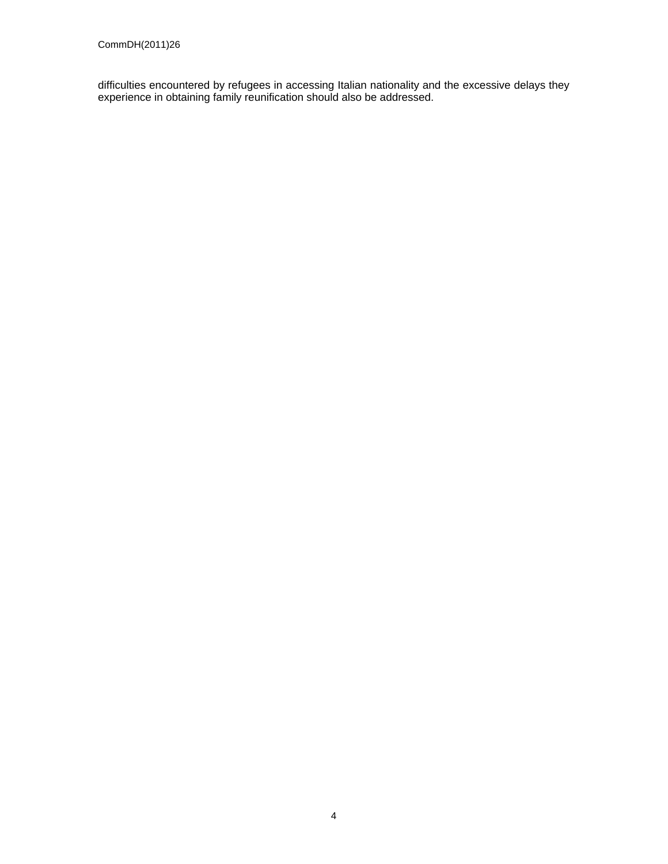difficulties encountered by refugees in accessing Italian nationality and the excessive delays they experience in obtaining family reunification should also be addressed.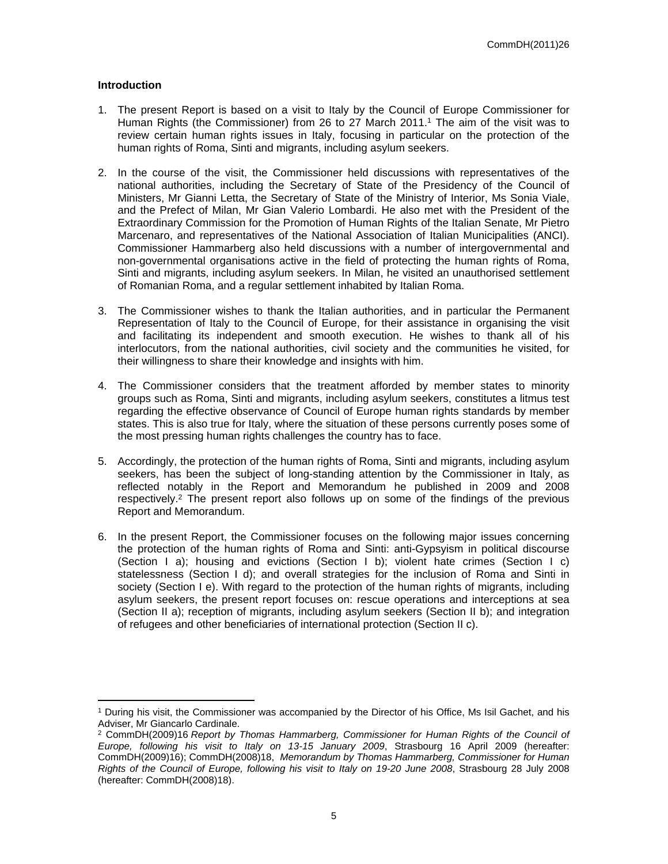#### **Introduction**

- 1. The present Report is based on a visit to Italy by the Council of Europe Commissioner for Human Rights (the Commissioner) from 26 to 27 March 2011.<sup>1</sup> The aim of the visit was to review certain human rights issues in Italy, focusing in particular on the protection of the human rights of Roma, Sinti and migrants, including asylum seekers.
- 2. In the course of the visit, the Commissioner held discussions with representatives of the national authorities, including the Secretary of State of the Presidency of the Council of Ministers, Mr Gianni Letta, the Secretary of State of the Ministry of Interior, Ms Sonia Viale, and the Prefect of Milan, Mr Gian Valerio Lombardi. He also met with the President of the Extraordinary Commission for the Promotion of Human Rights of the Italian Senate, Mr Pietro Marcenaro, and representatives of the National Association of Italian Municipalities (ANCI). Commissioner Hammarberg also held discussions with a number of intergovernmental and non-governmental organisations active in the field of protecting the human rights of Roma, Sinti and migrants, including asylum seekers. In Milan, he visited an unauthorised settlement of Romanian Roma, and a regular settlement inhabited by Italian Roma.
- 3. The Commissioner wishes to thank the Italian authorities, and in particular the Permanent Representation of Italy to the Council of Europe, for their assistance in organising the visit and facilitating its independent and smooth execution. He wishes to thank all of his interlocutors, from the national authorities, civil society and the communities he visited, for their willingness to share their knowledge and insights with him.
- 4. The Commissioner considers that the treatment afforded by member states to minority groups such as Roma, Sinti and migrants, including asylum seekers, constitutes a litmus test regarding the effective observance of Council of Europe human rights standards by member states. This is also true for Italy, where the situation of these persons currently poses some of the most pressing human rights challenges the country has to face.
- 5. Accordingly, the protection of the human rights of Roma, Sinti and migrants, including asylum seekers, has been the subject of long-standing attention by the Commissioner in Italy, as reflected notably in the Report and Memorandum he published in 2009 and 2008 respectively.<sup>2</sup> The present report also follows up on some of the findings of the previous Report and Memorandum.
- 6. In the present Report, the Commissioner focuses on the following major issues concerning the protection of the human rights of Roma and Sinti: anti-Gypsyism in political discourse (Section I a); housing and evictions (Section I b); violent hate crimes (Section I c) statelessness (Section I d); and overall strategies for the inclusion of Roma and Sinti in society (Section I e). With regard to the protection of the human rights of migrants, including asylum seekers, the present report focuses on: rescue operations and interceptions at sea (Section II a); reception of migrants, including asylum seekers (Section II b); and integration of refugees and other beneficiaries of international protection (Section II c).

<sup>1</sup> During his visit, the Commissioner was accompanied by the Director of his Office, Ms Isil Gachet, and his Adviser, Mr Giancarlo Cardinale.

<sup>2</sup> CommDH(2009)16 *Report by Thomas Hammarberg, Commissioner for Human Rights of the Council of Europe, following his visit to Italy on 13-15 January 2009*, Strasbourg 16 April 2009 (hereafter: CommDH(2009)16); CommDH(2008)18, *Memorandum by Thomas Hammarberg, Commissioner for Human Rights of the Council of Europe, following his visit to Italy on 19-20 June 2008*, Strasbourg 28 July 2008 (hereafter: CommDH(2008)18).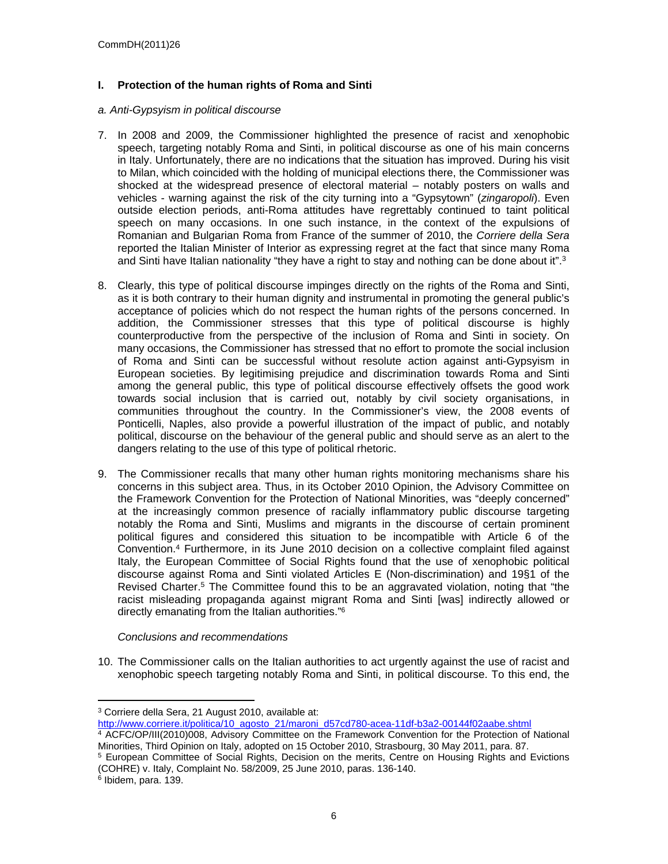## **I. Protection of the human rights of Roma and Sinti**

#### *a. Anti-Gypsyism in political discourse*

- 7. In 2008 and 2009, the Commissioner highlighted the presence of racist and xenophobic speech, targeting notably Roma and Sinti, in political discourse as one of his main concerns in Italy. Unfortunately, there are no indications that the situation has improved. During his visit to Milan, which coincided with the holding of municipal elections there, the Commissioner was shocked at the widespread presence of electoral material – notably posters on walls and vehicles - warning against the risk of the city turning into a "Gypsytown" (*zingaropoli*). Even outside election periods, anti-Roma attitudes have regrettably continued to taint political speech on many occasions. In one such instance, in the context of the expulsions of Romanian and Bulgarian Roma from France of the summer of 2010, the *Corriere della Sera* reported the Italian Minister of Interior as expressing regret at the fact that since many Roma and Sinti have Italian nationality "they have a right to stay and nothing can be done about it".<sup>3</sup>
- 8. Clearly, this type of political discourse impinges directly on the rights of the Roma and Sinti, as it is both contrary to their human dignity and instrumental in promoting the general public's acceptance of policies which do not respect the human rights of the persons concerned. In addition, the Commissioner stresses that this type of political discourse is highly counterproductive from the perspective of the inclusion of Roma and Sinti in society. On many occasions, the Commissioner has stressed that no effort to promote the social inclusion of Roma and Sinti can be successful without resolute action against anti-Gypsyism in European societies. By legitimising prejudice and discrimination towards Roma and Sinti among the general public, this type of political discourse effectively offsets the good work towards social inclusion that is carried out, notably by civil society organisations, in communities throughout the country. In the Commissioner's view, the 2008 events of Ponticelli, Naples, also provide a powerful illustration of the impact of public, and notably political, discourse on the behaviour of the general public and should serve as an alert to the dangers relating to the use of this type of political rhetoric.
- 9. The Commissioner recalls that many other human rights monitoring mechanisms share his concerns in this subject area. Thus, in its October 2010 Opinion, the Advisory Committee on the Framework Convention for the Protection of National Minorities, was "deeply concerned" at the increasingly common presence of racially inflammatory public discourse targeting notably the Roma and Sinti, Muslims and migrants in the discourse of certain prominent political figures and considered this situation to be incompatible with Article 6 of the Convention.<sup>4</sup> Furthermore, in its June 2010 decision on a collective complaint filed against Italy, the European Committee of Social Rights found that the use of xenophobic political discourse against Roma and Sinti violated Articles E (Non-discrimination) and 19§1 of the Revised Charter.<sup>5</sup> The Committee found this to be an aggravated violation, noting that "the racist misleading propaganda against migrant Roma and Sinti [was] indirectly allowed or directly emanating from the Italian authorities."<sup>6</sup>

#### *Conclusions and recommendations*

10. The Commissioner calls on the Italian authorities to act urgently against the use of racist and xenophobic speech targeting notably Roma and Sinti, in political discourse. To this end, the

<sup>3</sup> Corriere della Sera, 21 August 2010, available at:

[http://www.corriere.it/politica/10\\_agosto\\_21/maroni\\_d57cd780-acea-11df-b3a2-00144f02aabe.shtml](http://www.corriere.it/politica/10_agosto_21/maroni_d57cd780-acea-11df-b3a2-00144f02aabe.shtml)

<sup>4</sup> ACFC/OP/III(2010)008, Advisory Committee on the Framework Convention for the Protection of National Minorities, Third Opinion on Italy, adopted on 15 October 2010, Strasbourg, 30 May 2011, para. 87.

<sup>&</sup>lt;sup>5</sup> European Committee of Social Rights, Decision on the merits, Centre on Housing Rights and Evictions (COHRE) v. Italy, Complaint No. 58/2009, 25 June 2010, paras. 136-140.

<sup>6</sup> Ibidem, para. 139.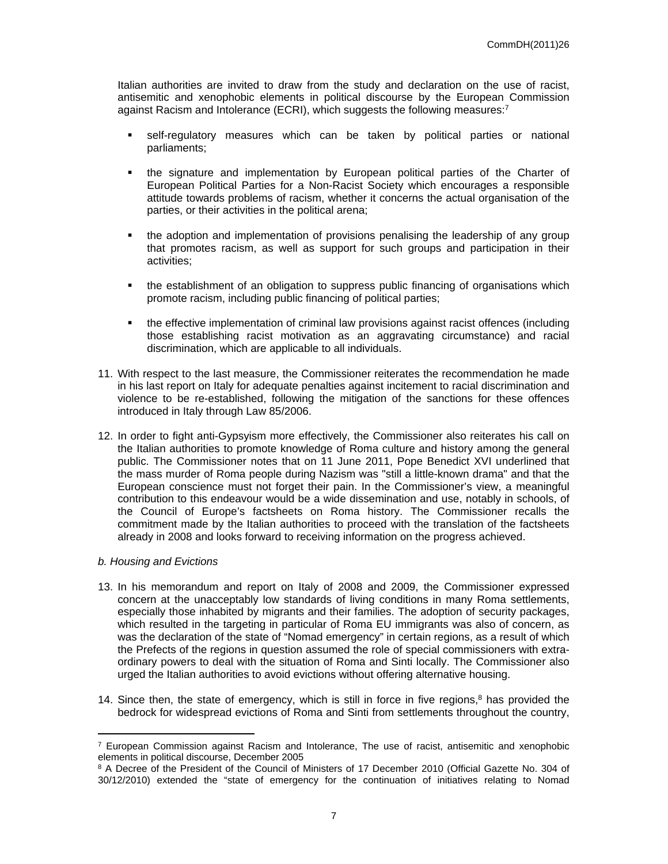Italian authorities are invited to draw from the study and declaration on the use of racist, antisemitic and xenophobic elements in political discourse by the European Commission against Racism and Intolerance (ECRI), which suggests the following measures:<sup>7</sup>

- self-regulatory measures which can be taken by political parties or national parliaments;
- the signature and implementation by European political parties of the Charter of European Political Parties for a Non-Racist Society which encourages a responsible attitude towards problems of racism, whether it concerns the actual organisation of the parties, or their activities in the political arena;
- the adoption and implementation of provisions penalising the leadership of any group that promotes racism, as well as support for such groups and participation in their activities;
- the establishment of an obligation to suppress public financing of organisations which promote racism, including public financing of political parties;
- the effective implementation of criminal law provisions against racist offences (including those establishing racist motivation as an aggravating circumstance) and racial discrimination, which are applicable to all individuals.
- 11. With respect to the last measure, the Commissioner reiterates the recommendation he made in his last report on Italy for adequate penalties against incitement to racial discrimination and violence to be re-established, following the mitigation of the sanctions for these offences introduced in Italy through Law 85/2006.
- 12. In order to fight anti-Gypsyism more effectively, the Commissioner also reiterates his call on the Italian authorities to promote knowledge of Roma culture and history among the general public. The Commissioner notes that on 11 June 2011, Pope Benedict XVI underlined that the mass murder of Roma people during Nazism was "still a little-known drama" and that the European conscience must not forget their pain. In the Commissioner's view, a meaningful contribution to this endeavour would be a wide dissemination and use, notably in schools, of the Council of Europe's factsheets on Roma history. The Commissioner recalls the commitment made by the Italian authorities to proceed with the translation of the factsheets already in 2008 and looks forward to receiving information on the progress achieved.

#### *b. Housing and Evictions*

- 13. In his memorandum and report on Italy of 2008 and 2009, the Commissioner expressed concern at the unacceptably low standards of living conditions in many Roma settlements, especially those inhabited by migrants and their families. The adoption of security packages, which resulted in the targeting in particular of Roma EU immigrants was also of concern, as was the declaration of the state of "Nomad emergency" in certain regions, as a result of which the Prefects of the regions in question assumed the role of special commissioners with extraordinary powers to deal with the situation of Roma and Sinti locally. The Commissioner also urged the Italian authorities to avoid evictions without offering alternative housing.
- 14. Since then, the state of emergency, which is still in force in five regions, $8$  has provided the bedrock for widespread evictions of Roma and Sinti from settlements throughout the country,

<sup>&</sup>lt;sup>7</sup> European Commission against Racism and Intolerance. The use of racist, antisemitic and xenophobic elements in political discourse, December 2005

<sup>&</sup>lt;sup>8</sup> A Decree of the President of the Council of Ministers of 17 December 2010 (Official Gazette No. 304 of 30/12/2010) extended the "state of emergency for the continuation of initiatives relating to Nomad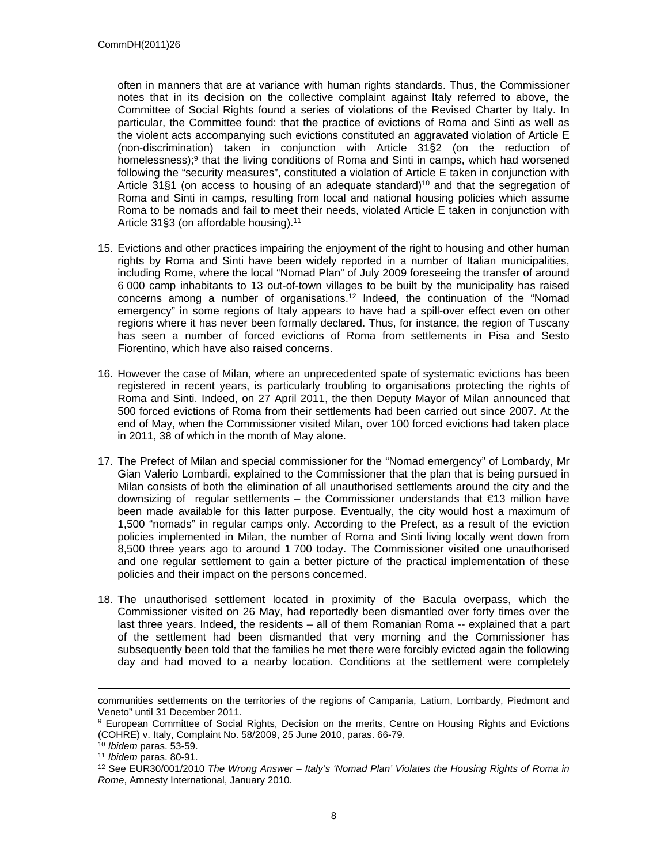often in manners that are at variance with human rights standards. Thus, the Commissioner notes that in its decision on the collective complaint against Italy referred to above, the Committee of Social Rights found a series of violations of the Revised Charter by Italy. In particular, the Committee found: that the practice of evictions of Roma and Sinti as well as the violent acts accompanying such evictions constituted an aggravated violation of Article E (non-discrimination) taken in conjunction with Article 31§2 (on the reduction of homelessness);<sup>9</sup> that the living conditions of Roma and Sinti in camps, which had worsened following the "security measures", constituted a violation of Article E taken in conjunction with Article 31§1 (on access to housing of an adequate standard)<sup>10</sup> and that the segregation of Roma and Sinti in camps, resulting from local and national housing policies which assume Roma to be nomads and fail to meet their needs, violated Article E taken in conjunction with Article 31§3 (on affordable housing).<sup>11</sup>

- 15. Evictions and other practices impairing the enjoyment of the right to housing and other human rights by Roma and Sinti have been widely reported in a number of Italian municipalities, including Rome, where the local "Nomad Plan" of July 2009 foreseeing the transfer of around 6 000 camp inhabitants to 13 out-of-town villages to be built by the municipality has raised concerns among a number of organisations.<sup>12</sup> Indeed, the continuation of the "Nomad emergency" in some regions of Italy appears to have had a spill-over effect even on other regions where it has never been formally declared. Thus, for instance, the region of Tuscany has seen a number of forced evictions of Roma from settlements in Pisa and Sesto Fiorentino, which have also raised concerns.
- 16. However the case of Milan, where an unprecedented spate of systematic evictions has been registered in recent years, is particularly troubling to organisations protecting the rights of Roma and Sinti. Indeed, on 27 April 2011, the then Deputy Mayor of Milan announced that 500 forced evictions of Roma from their settlements had been carried out since 2007. At the end of May, when the Commissioner visited Milan, over 100 forced evictions had taken place in 2011, 38 of which in the month of May alone.
- 17. The Prefect of Milan and special commissioner for the "Nomad emergency" of Lombardy, Mr Gian Valerio Lombardi, explained to the Commissioner that the plan that is being pursued in Milan consists of both the elimination of all unauthorised settlements around the city and the downsizing of regular settlements – the Commissioner understands that €13 million have been made available for this latter purpose. Eventually, the city would host a maximum of 1,500 "nomads" in regular camps only. According to the Prefect, as a result of the eviction policies implemented in Milan, the number of Roma and Sinti living locally went down from 8,500 three years ago to around 1 700 today. The Commissioner visited one unauthorised and one regular settlement to gain a better picture of the practical implementation of these policies and their impact on the persons concerned.
- 18. The unauthorised settlement located in proximity of the Bacula overpass, which the Commissioner visited on 26 May, had reportedly been dismantled over forty times over the last three years. Indeed, the residents – all of them Romanian Roma -- explained that a part of the settlement had been dismantled that very morning and the Commissioner has subsequently been told that the families he met there were forcibly evicted again the following day and had moved to a nearby location. Conditions at the settlement were completely

communities settlements on the territories of the regions of Campania, Latium, Lombardy, Piedmont and Veneto" until 31 December 2011.

<sup>&</sup>lt;sup>9</sup> European Committee of Social Rights, Decision on the merits, Centre on Housing Rights and Evictions (COHRE) v. Italy, Complaint No. 58/2009, 25 June 2010, paras. 66-79.

<sup>10</sup> *Ibidem* paras. 53-59.

<sup>11</sup> *Ibidem* paras. 80-91.

<sup>12</sup> See EUR30/001/2010 *The Wrong Answer – Italy's 'Nomad Plan' Violates the Housing Rights of Roma in Rome*, Amnesty International, January 2010.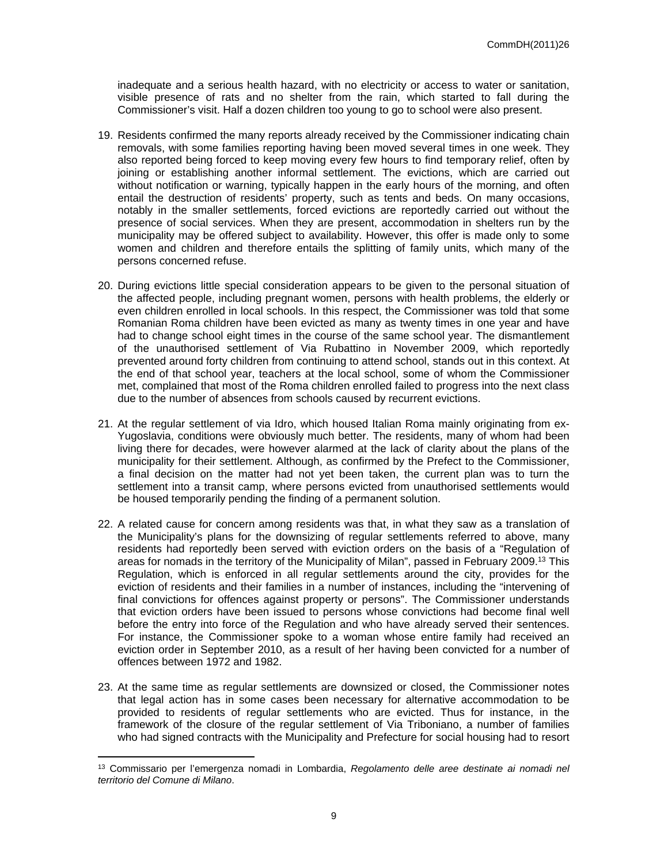inadequate and a serious health hazard, with no electricity or access to water or sanitation, visible presence of rats and no shelter from the rain, which started to fall during the Commissioner's visit. Half a dozen children too young to go to school were also present.

- 19. Residents confirmed the many reports already received by the Commissioner indicating chain removals, with some families reporting having been moved several times in one week. They also reported being forced to keep moving every few hours to find temporary relief, often by joining or establishing another informal settlement. The evictions, which are carried out without notification or warning, typically happen in the early hours of the morning, and often entail the destruction of residents' property, such as tents and beds. On many occasions, notably in the smaller settlements, forced evictions are reportedly carried out without the presence of social services. When they are present, accommodation in shelters run by the municipality may be offered subject to availability. However, this offer is made only to some women and children and therefore entails the splitting of family units, which many of the persons concerned refuse.
- 20. During evictions little special consideration appears to be given to the personal situation of the affected people, including pregnant women, persons with health problems, the elderly or even children enrolled in local schools. In this respect, the Commissioner was told that some Romanian Roma children have been evicted as many as twenty times in one year and have had to change school eight times in the course of the same school year. The dismantlement of the unauthorised settlement of Via Rubattino in November 2009, which reportedly prevented around forty children from continuing to attend school, stands out in this context. At the end of that school year, teachers at the local school, some of whom the Commissioner met, complained that most of the Roma children enrolled failed to progress into the next class due to the number of absences from schools caused by recurrent evictions.
- 21. At the regular settlement of via Idro, which housed Italian Roma mainly originating from ex-Yugoslavia, conditions were obviously much better. The residents, many of whom had been living there for decades, were however alarmed at the lack of clarity about the plans of the municipality for their settlement. Although, as confirmed by the Prefect to the Commissioner, a final decision on the matter had not yet been taken, the current plan was to turn the settlement into a transit camp, where persons evicted from unauthorised settlements would be housed temporarily pending the finding of a permanent solution.
- 22. A related cause for concern among residents was that, in what they saw as a translation of the Municipality's plans for the downsizing of regular settlements referred to above, many residents had reportedly been served with eviction orders on the basis of a "Regulation of areas for nomads in the territory of the Municipality of Milan", passed in February 2009.<sup>13</sup> This Regulation, which is enforced in all regular settlements around the city, provides for the eviction of residents and their families in a number of instances, including the "intervening of final convictions for offences against property or persons". The Commissioner understands that eviction orders have been issued to persons whose convictions had become final well before the entry into force of the Regulation and who have already served their sentences. For instance, the Commissioner spoke to a woman whose entire family had received an eviction order in September 2010, as a result of her having been convicted for a number of offences between 1972 and 1982.
- 23. At the same time as regular settlements are downsized or closed, the Commissioner notes that legal action has in some cases been necessary for alternative accommodation to be provided to residents of regular settlements who are evicted. Thus for instance, in the framework of the closure of the regular settlement of Via Triboniano, a number of families who had signed contracts with the Municipality and Prefecture for social housing had to resort

<sup>13</sup> Commissario per l'emergenza nomadi in Lombardia, *Regolamento delle aree destinate ai nomadi nel territorio del Comune di Milano*.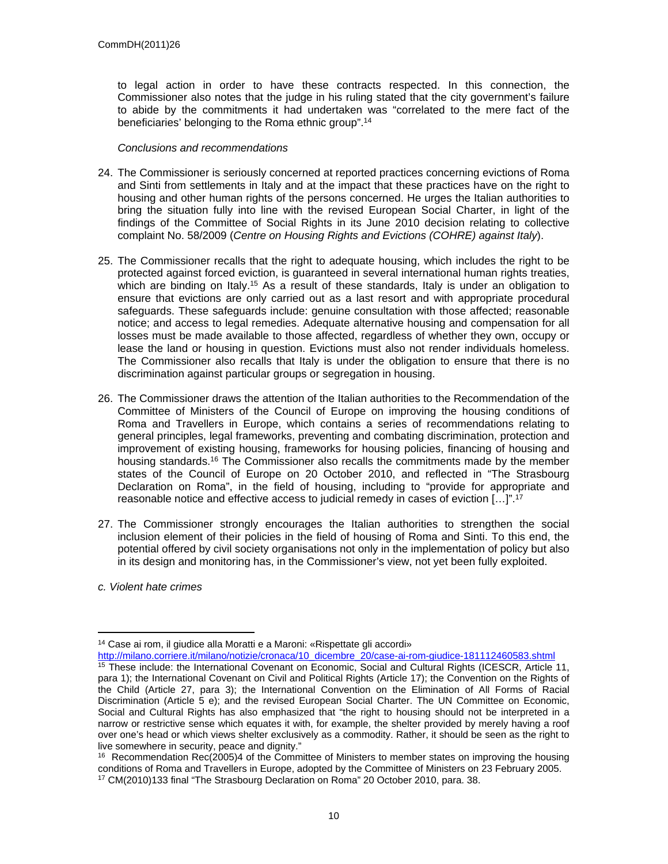to legal action in order to have these contracts respected. In this connection, the Commissioner also notes that the judge in his ruling stated that the city government's failure to abide by the commitments it had undertaken was "correlated to the mere fact of the beneficiaries' belonging to the Roma ethnic group".<sup>14</sup>

- 24. The Commissioner is seriously concerned at reported practices concerning evictions of Roma and Sinti from settlements in Italy and at the impact that these practices have on the right to housing and other human rights of the persons concerned. He urges the Italian authorities to bring the situation fully into line with the revised European Social Charter, in light of the findings of the Committee of Social Rights in its June 2010 decision relating to collective complaint No. 58/2009 (*Centre on Housing Rights and Evictions (COHRE) against Italy*).
- 25. The Commissioner recalls that the right to adequate housing, which includes the right to be protected against forced eviction, is guaranteed in several international human rights treaties, which are binding on Italy.<sup>15</sup> As a result of these standards, Italy is under an obligation to ensure that evictions are only carried out as a last resort and with appropriate procedural safeguards. These safeguards include: genuine consultation with those affected; reasonable notice; and access to legal remedies. Adequate alternative housing and compensation for all losses must be made available to those affected, regardless of whether they own, occupy or lease the land or housing in question. Evictions must also not render individuals homeless. The Commissioner also recalls that Italy is under the obligation to ensure that there is no discrimination against particular groups or segregation in housing.
- 26. The Commissioner draws the attention of the Italian authorities to the Recommendation of the Committee of Ministers of the Council of Europe on improving the housing conditions of Roma and Travellers in Europe, which contains a series of recommendations relating to general principles, legal frameworks, preventing and combating discrimination, protection and improvement of existing housing, frameworks for housing policies, financing of housing and housing standards.<sup>16</sup> The Commissioner also recalls the commitments made by the member states of the Council of Europe on 20 October 2010, and reflected in "The Strasbourg Declaration on Roma", in the field of housing, including to "provide for appropriate and reasonable notice and effective access to judicial remedy in cases of eviction […]".<sup>17</sup>
- 27. The Commissioner strongly encourages the Italian authorities to strengthen the social inclusion element of their policies in the field of housing of Roma and Sinti. To this end, the potential offered by civil society organisations not only in the implementation of policy but also in its design and monitoring has, in the Commissioner's view, not yet been fully exploited.
- *c. Violent hate crimes*

<sup>14</sup> Case ai rom, il giudice alla Moratti e a Maroni: «Rispettate gli accordi»

[http://milano.corriere.it/milano/notizie/cronaca/10\\_dicembre\\_20/case-ai-rom-giudice-181112460583.shtml](http://milano.corriere.it/milano/notizie/cronaca/10_dicembre_20/case-ai-rom-giudice-181112460583.shtml)

<sup>&</sup>lt;sup>15</sup> These include: the International Covenant on Economic, Social and Cultural Rights (ICESCR, Article 11, para 1); the International Covenant on Civil and Political Rights (Article 17); the Convention on the Rights of the Child (Article 27, para 3); the International Convention on the Elimination of All Forms of Racial Discrimination (Article 5 e); and the revised European Social Charter. The UN Committee on Economic, Social and Cultural Rights has also emphasized that "the right to housing should not be interpreted in a narrow or restrictive sense which equates it with, for example, the shelter provided by merely having a roof over one's head or which views shelter exclusively as a commodity. Rather, it should be seen as the right to live somewhere in security, peace and dignity."

<sup>&</sup>lt;sup>16</sup> Recommendation Rec(2005)4 of the Committee of Ministers to member states on improving the housing conditions of Roma and Travellers in Europe, adopted by the Committee of Ministers on 23 February 2005. 17 CM(2010)133 final "The Strasbourg Declaration on Roma" 20 October 2010, para. 38.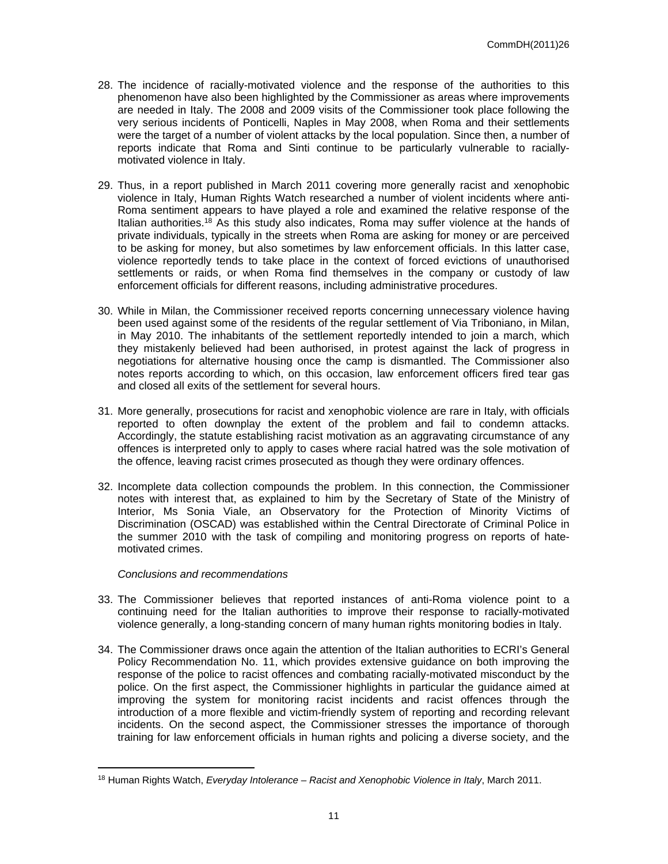- 28. The incidence of racially-motivated violence and the response of the authorities to this phenomenon have also been highlighted by the Commissioner as areas where improvements are needed in Italy. The 2008 and 2009 visits of the Commissioner took place following the very serious incidents of Ponticelli, Naples in May 2008, when Roma and their settlements were the target of a number of violent attacks by the local population. Since then, a number of reports indicate that Roma and Sinti continue to be particularly vulnerable to raciallymotivated violence in Italy.
- 29. Thus, in a report published in March 2011 covering more generally racist and xenophobic violence in Italy, Human Rights Watch researched a number of violent incidents where anti-Roma sentiment appears to have played a role and examined the relative response of the Italian authorities.<sup>18</sup> As this study also indicates, Roma may suffer violence at the hands of private individuals, typically in the streets when Roma are asking for money or are perceived to be asking for money, but also sometimes by law enforcement officials. In this latter case, violence reportedly tends to take place in the context of forced evictions of unauthorised settlements or raids, or when Roma find themselves in the company or custody of law enforcement officials for different reasons, including administrative procedures.
- 30. While in Milan, the Commissioner received reports concerning unnecessary violence having been used against some of the residents of the regular settlement of Via Triboniano, in Milan, in May 2010. The inhabitants of the settlement reportedly intended to join a march, which they mistakenly believed had been authorised, in protest against the lack of progress in negotiations for alternative housing once the camp is dismantled. The Commissioner also notes reports according to which, on this occasion, law enforcement officers fired tear gas and closed all exits of the settlement for several hours.
- 31. More generally, prosecutions for racist and xenophobic violence are rare in Italy, with officials reported to often downplay the extent of the problem and fail to condemn attacks. Accordingly, the statute establishing racist motivation as an aggravating circumstance of any offences is interpreted only to apply to cases where racial hatred was the sole motivation of the offence, leaving racist crimes prosecuted as though they were ordinary offences.
- 32. Incomplete data collection compounds the problem. In this connection, the Commissioner notes with interest that, as explained to him by the Secretary of State of the Ministry of Interior, Ms Sonia Viale, an Observatory for the Protection of Minority Victims of Discrimination (OSCAD) was established within the Central Directorate of Criminal Police in the summer 2010 with the task of compiling and monitoring progress on reports of hatemotivated crimes.

- 33. The Commissioner believes that reported instances of anti-Roma violence point to a continuing need for the Italian authorities to improve their response to racially-motivated violence generally, a long-standing concern of many human rights monitoring bodies in Italy.
- 34. The Commissioner draws once again the attention of the Italian authorities to ECRI's General Policy Recommendation No. 11, which provides extensive guidance on both improving the response of the police to racist offences and combating racially-motivated misconduct by the police. On the first aspect, the Commissioner highlights in particular the guidance aimed at improving the system for monitoring racist incidents and racist offences through the introduction of a more flexible and victim-friendly system of reporting and recording relevant incidents. On the second aspect, the Commissioner stresses the importance of thorough training for law enforcement officials in human rights and policing a diverse society, and the

<sup>18</sup> Human Rights Watch, *Everyday Intolerance – Racist and Xenophobic Violence in Italy*, March 2011.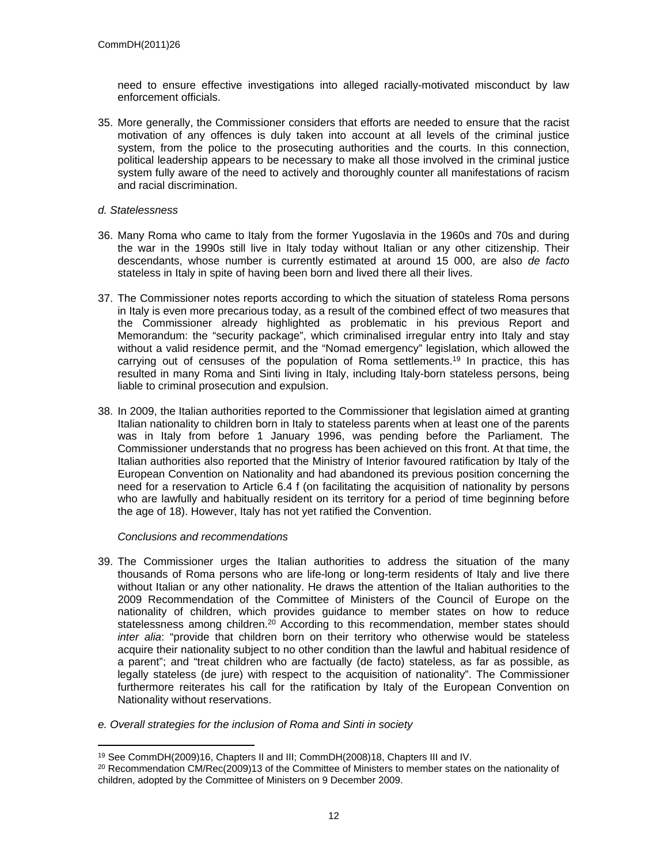need to ensure effective investigations into alleged racially-motivated misconduct by law enforcement officials.

- 35. More generally, the Commissioner considers that efforts are needed to ensure that the racist motivation of any offences is duly taken into account at all levels of the criminal justice system, from the police to the prosecuting authorities and the courts. In this connection, political leadership appears to be necessary to make all those involved in the criminal justice system fully aware of the need to actively and thoroughly counter all manifestations of racism and racial discrimination.
- *d. Statelessness*
- 36. Many Roma who came to Italy from the former Yugoslavia in the 1960s and 70s and during the war in the 1990s still live in Italy today without Italian or any other citizenship. Their descendants, whose number is currently estimated at around 15 000, are also *de facto* stateless in Italy in spite of having been born and lived there all their lives.
- 37. The Commissioner notes reports according to which the situation of stateless Roma persons in Italy is even more precarious today, as a result of the combined effect of two measures that the Commissioner already highlighted as problematic in his previous Report and Memorandum: the "security package", which criminalised irregular entry into Italy and stay without a valid residence permit, and the "Nomad emergency" legislation, which allowed the carrying out of censuses of the population of Roma settlements.<sup>19</sup> In practice, this has resulted in many Roma and Sinti living in Italy, including Italy-born stateless persons, being liable to criminal prosecution and expulsion.
- 38. In 2009, the Italian authorities reported to the Commissioner that legislation aimed at granting Italian nationality to children born in Italy to stateless parents when at least one of the parents was in Italy from before 1 January 1996, was pending before the Parliament. The Commissioner understands that no progress has been achieved on this front. At that time, the Italian authorities also reported that the Ministry of Interior favoured ratification by Italy of the European Convention on Nationality and had abandoned its previous position concerning the need for a reservation to Article 6.4 f (on facilitating the acquisition of nationality by persons who are lawfully and habitually resident on its territory for a period of time beginning before the age of 18). However, Italy has not yet ratified the Convention.

- 39. The Commissioner urges the Italian authorities to address the situation of the many thousands of Roma persons who are life-long or long-term residents of Italy and live there without Italian or any other nationality. He draws the attention of the Italian authorities to the 2009 Recommendation of the Committee of Ministers of the Council of Europe on the nationality of children, which provides guidance to member states on how to reduce statelessness among children.<sup>20</sup> According to this recommendation, member states should *inter alia*: "provide that children born on their territory who otherwise would be stateless acquire their nationality subject to no other condition than the lawful and habitual residence of a parent"; and "treat children who are factually (de facto) stateless, as far as possible, as legally stateless (de jure) with respect to the acquisition of nationality". The Commissioner furthermore reiterates his call for the ratification by Italy of the European Convention on Nationality without reservations.
- *e. Overall strategies for the inclusion of Roma and Sinti in society*

<sup>19</sup> See CommDH(2009)16, Chapters II and III; CommDH(2008)18, Chapters III and IV.

<sup>&</sup>lt;sup>20</sup> Recommendation CM/Rec(2009)13 of the Committee of Ministers to member states on the nationality of children, adopted by the Committee of Ministers on 9 December 2009.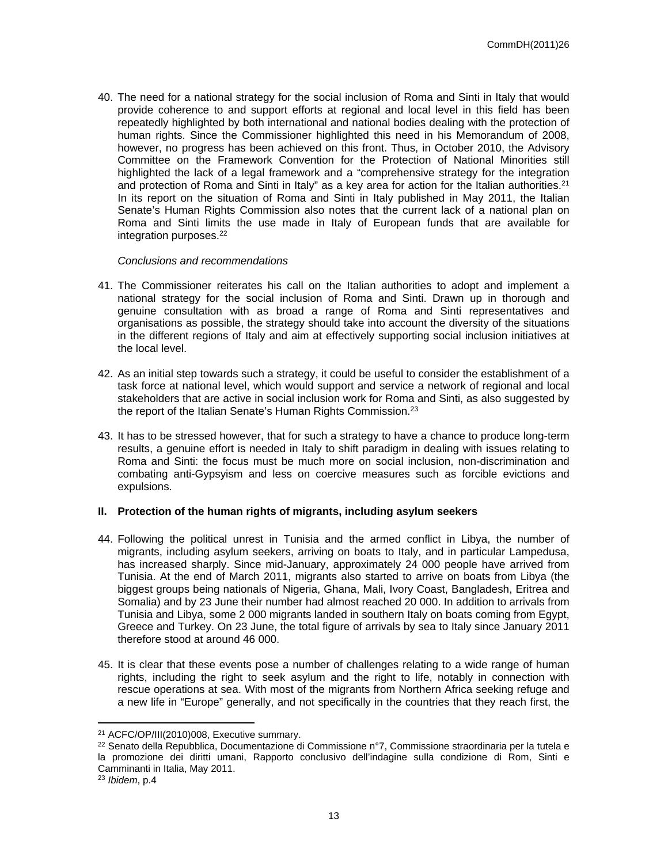40. The need for a national strategy for the social inclusion of Roma and Sinti in Italy that would provide coherence to and support efforts at regional and local level in this field has been repeatedly highlighted by both international and national bodies dealing with the protection of human rights. Since the Commissioner highlighted this need in his Memorandum of 2008, however, no progress has been achieved on this front. Thus, in October 2010, the Advisory Committee on the Framework Convention for the Protection of National Minorities still highlighted the lack of a legal framework and a "comprehensive strategy for the integration and protection of Roma and Sinti in Italy" as a key area for action for the Italian authorities.<sup>21</sup> In its report on the situation of Roma and Sinti in Italy published in May 2011, the Italian Senate's Human Rights Commission also notes that the current lack of a national plan on Roma and Sinti limits the use made in Italy of European funds that are available for integration purposes.<sup>22</sup>

#### *Conclusions and recommendations*

- 41. The Commissioner reiterates his call on the Italian authorities to adopt and implement a national strategy for the social inclusion of Roma and Sinti. Drawn up in thorough and genuine consultation with as broad a range of Roma and Sinti representatives and organisations as possible, the strategy should take into account the diversity of the situations in the different regions of Italy and aim at effectively supporting social inclusion initiatives at the local level.
- 42. As an initial step towards such a strategy, it could be useful to consider the establishment of a task force at national level, which would support and service a network of regional and local stakeholders that are active in social inclusion work for Roma and Sinti, as also suggested by the report of the Italian Senate's Human Rights Commission.<sup>23</sup>
- 43. It has to be stressed however, that for such a strategy to have a chance to produce long-term results, a genuine effort is needed in Italy to shift paradigm in dealing with issues relating to Roma and Sinti: the focus must be much more on social inclusion, non-discrimination and combating anti-Gypsyism and less on coercive measures such as forcible evictions and expulsions.

#### **II. Protection of the human rights of migrants, including asylum seekers**

- 44. Following the political unrest in Tunisia and the armed conflict in Libya, the number of migrants, including asylum seekers, arriving on boats to Italy, and in particular Lampedusa, has increased sharply. Since mid-January, approximately 24 000 people have arrived from Tunisia. At the end of March 2011, migrants also started to arrive on boats from Libya (the biggest groups being nationals of Nigeria, Ghana, Mali, Ivory Coast, Bangladesh, Eritrea and Somalia) and by 23 June their number had almost reached 20 000. In addition to arrivals from Tunisia and Libya, some 2 000 migrants landed in southern Italy on boats coming from Egypt, Greece and Turkey. On 23 June, the total figure of arrivals by sea to Italy since January 2011 therefore stood at around 46 000.
- 45. It is clear that these events pose a number of challenges relating to a wide range of human rights, including the right to seek asylum and the right to life, notably in connection with rescue operations at sea. With most of the migrants from Northern Africa seeking refuge and a new life in "Europe" generally, and not specifically in the countries that they reach first, the

<sup>21</sup> ACFC/OP/III(2010)008, Executive summary.

<sup>22</sup> Senato della Repubblica, Documentazione di Commissione n°7, Commissione straordinaria per la tutela e la promozione dei diritti umani, Rapporto conclusivo dell'indagine sulla condizione di Rom, Sinti e Camminanti in Italia, May 2011.

<sup>23</sup> *Ibidem*, p.4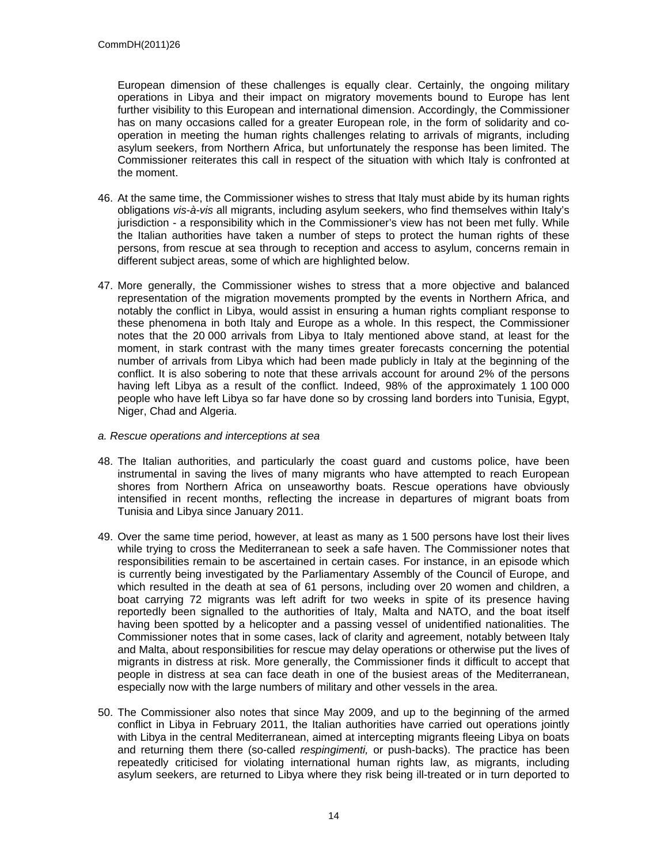European dimension of these challenges is equally clear. Certainly, the ongoing military operations in Libya and their impact on migratory movements bound to Europe has lent further visibility to this European and international dimension. Accordingly, the Commissioner has on many occasions called for a greater European role, in the form of solidarity and cooperation in meeting the human rights challenges relating to arrivals of migrants, including asylum seekers, from Northern Africa, but unfortunately the response has been limited. The Commissioner reiterates this call in respect of the situation with which Italy is confronted at the moment.

- 46. At the same time, the Commissioner wishes to stress that Italy must abide by its human rights obligations *vis-à-vis* all migrants, including asylum seekers, who find themselves within Italy's jurisdiction - a responsibility which in the Commissioner's view has not been met fully. While the Italian authorities have taken a number of steps to protect the human rights of these persons, from rescue at sea through to reception and access to asylum, concerns remain in different subject areas, some of which are highlighted below.
- 47. More generally, the Commissioner wishes to stress that a more objective and balanced representation of the migration movements prompted by the events in Northern Africa, and notably the conflict in Libya, would assist in ensuring a human rights compliant response to these phenomena in both Italy and Europe as a whole. In this respect, the Commissioner notes that the 20 000 arrivals from Libya to Italy mentioned above stand, at least for the moment, in stark contrast with the many times greater forecasts concerning the potential number of arrivals from Libya which had been made publicly in Italy at the beginning of the conflict. It is also sobering to note that these arrivals account for around 2% of the persons having left Libya as a result of the conflict. Indeed, 98% of the approximately 1 100 000 people who have left Libya so far have done so by crossing land borders into Tunisia, Egypt, Niger, Chad and Algeria.
- *a. Rescue operations and interceptions at sea*
- 48. The Italian authorities, and particularly the coast guard and customs police, have been instrumental in saving the lives of many migrants who have attempted to reach European shores from Northern Africa on unseaworthy boats. Rescue operations have obviously intensified in recent months, reflecting the increase in departures of migrant boats from Tunisia and Libya since January 2011.
- 49. Over the same time period, however, at least as many as 1 500 persons have lost their lives while trying to cross the Mediterranean to seek a safe haven. The Commissioner notes that responsibilities remain to be ascertained in certain cases. For instance, in an episode which is currently being investigated by the Parliamentary Assembly of the Council of Europe, and which resulted in the death at sea of 61 persons, including over 20 women and children, a boat carrying 72 migrants was left adrift for two weeks in spite of its presence having reportedly been signalled to the authorities of Italy, Malta and NATO, and the boat itself having been spotted by a helicopter and a passing vessel of unidentified nationalities. The Commissioner notes that in some cases, lack of clarity and agreement, notably between Italy and Malta, about responsibilities for rescue may delay operations or otherwise put the lives of migrants in distress at risk. More generally, the Commissioner finds it difficult to accept that people in distress at sea can face death in one of the busiest areas of the Mediterranean, especially now with the large numbers of military and other vessels in the area.
- 50. The Commissioner also notes that since May 2009, and up to the beginning of the armed conflict in Libya in February 2011, the Italian authorities have carried out operations jointly with Libya in the central Mediterranean, aimed at intercepting migrants fleeing Libya on boats and returning them there (so-called *respingimenti,* or push-backs). The practice has been repeatedly criticised for violating international human rights law, as migrants, including asylum seekers, are returned to Libya where they risk being ill-treated or in turn deported to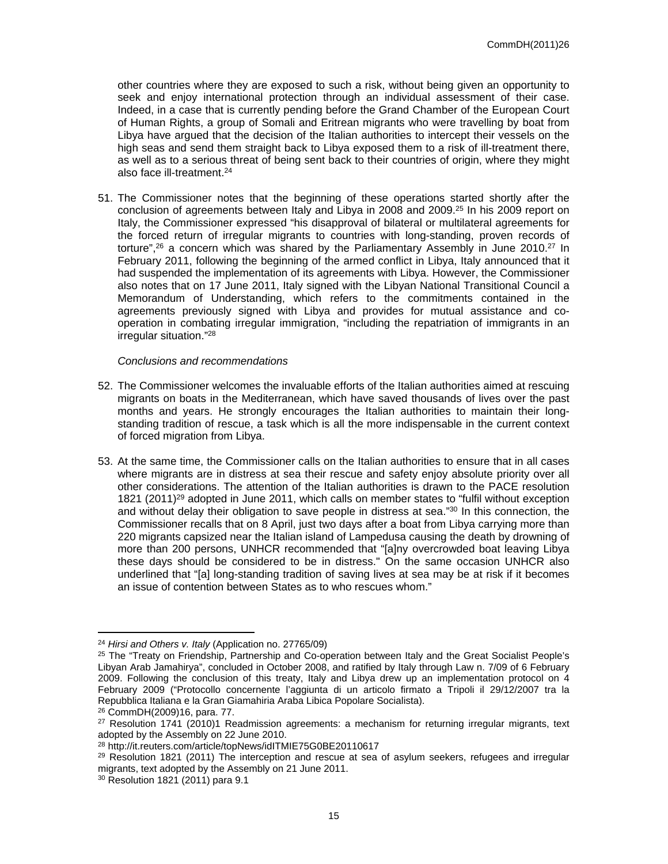other countries where they are exposed to such a risk, without being given an opportunity to seek and enjoy international protection through an individual assessment of their case. Indeed, in a case that is currently pending before the Grand Chamber of the European Court of Human Rights, a group of Somali and Eritrean migrants who were travelling by boat from Libya have argued that the decision of the Italian authorities to intercept their vessels on the high seas and send them straight back to Libya exposed them to a risk of ill-treatment there, as well as to a serious threat of being sent back to their countries of origin, where they might also face ill-treatment.<sup>24</sup>

51. The Commissioner notes that the beginning of these operations started shortly after the conclusion of agreements between Italy and Libya in 2008 and 2009.<sup>25</sup> In his 2009 report on Italy, the Commissioner expressed "his disapproval of bilateral or multilateral agreements for the forced return of irregular migrants to countries with long-standing, proven records of torture",<sup>26</sup> a concern which was shared by the Parliamentary Assembly in June 2010.<sup>27</sup> In February 2011, following the beginning of the armed conflict in Libya, Italy announced that it had suspended the implementation of its agreements with Libya. However, the Commissioner also notes that on 17 June 2011, Italy signed with the Libyan National Transitional Council a Memorandum of Understanding, which refers to the commitments contained in the agreements previously signed with Libya and provides for mutual assistance and cooperation in combating irregular immigration, "including the repatriation of immigrants in an irregular situation."<sup>28</sup>

- 52. The Commissioner welcomes the invaluable efforts of the Italian authorities aimed at rescuing migrants on boats in the Mediterranean, which have saved thousands of lives over the past months and years. He strongly encourages the Italian authorities to maintain their longstanding tradition of rescue, a task which is all the more indispensable in the current context of forced migration from Libya.
- 53. At the same time, the Commissioner calls on the Italian authorities to ensure that in all cases where migrants are in distress at sea their rescue and safety enjoy absolute priority over all other considerations. The attention of the Italian authorities is drawn to the PACE resolution 1821 (2011)<sup>29</sup> adopted in June 2011, which calls on member states to "fulfil without exception and without delay their obligation to save people in distress at sea."<sup>30</sup> In this connection, the Commissioner recalls that on 8 April, just two days after a boat from Libya carrying more than 220 migrants capsized near the Italian island of Lampedusa causing the death by drowning of more than 200 persons, UNHCR recommended that "[a]ny overcrowded boat leaving Libya these days should be considered to be in distress." On the same occasion UNHCR also underlined that "[a] long-standing tradition of saving lives at sea may be at risk if it becomes an issue of contention between States as to who rescues whom."

<sup>24</sup> *Hirsi and Others v. Italy* (Application no. 27765/09)

<sup>&</sup>lt;sup>25</sup> The "Treaty on Friendship, Partnership and Co-operation between Italy and the Great Socialist People's Libyan Arab Jamahirya", concluded in October 2008, and ratified by Italy through Law n. 7/09 of 6 February 2009. Following the conclusion of this treaty, Italy and Libya drew up an implementation protocol on 4 February 2009 ("Protocollo concernente l'aggiunta di un articolo firmato a Tripoli il 29/12/2007 tra la Repubblica Italiana e la Gran Giamahiria Araba Libica Popolare Socialista).

<sup>26</sup> CommDH(2009)16, para. 77.

 $27$  Resolution 1741 (2010)1 Readmission agreements: a mechanism for returning irregular migrants, text adopted by the Assembly on 22 June 2010.

<sup>28</sup> http://it.reuters.com/article/topNews/idITMIE75G0BE20110617

 $29$  Resolution 1821 (2011) The interception and rescue at sea of asylum seekers, refugees and irregular migrants, text adopted by the Assembly on 21 June 2011.

<sup>30</sup> Resolution 1821 (2011) para 9.1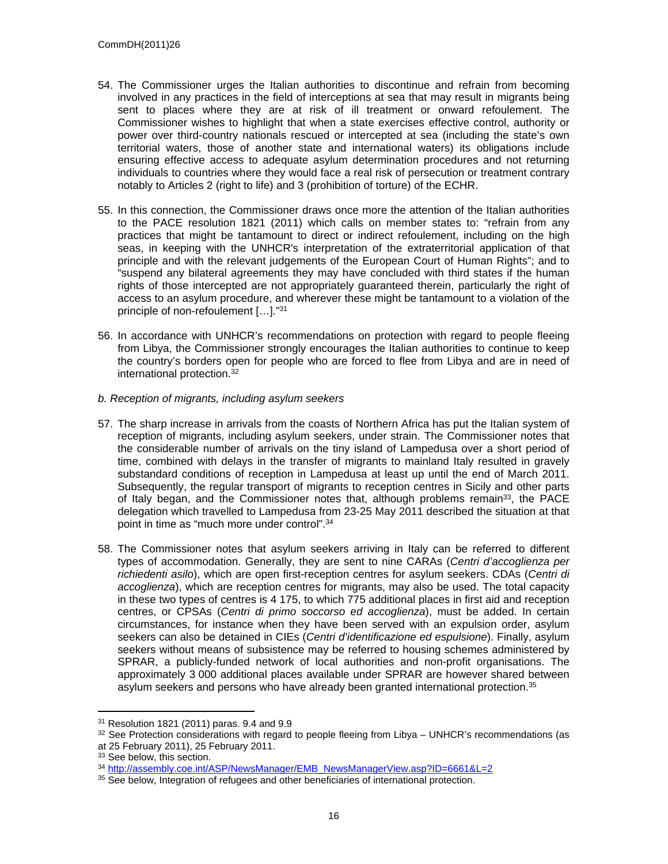- 54. The Commissioner urges the Italian authorities to discontinue and refrain from becoming involved in any practices in the field of interceptions at sea that may result in migrants being sent to places where they are at risk of ill treatment or onward refoulement. The Commissioner wishes to highlight that when a state exercises effective control, authority or power over third-country nationals rescued or intercepted at sea (including the state's own territorial waters, those of another state and international waters) its obligations include ensuring effective access to adequate asylum determination procedures and not returning individuals to countries where they would face a real risk of persecution or treatment contrary notably to Articles 2 (right to life) and 3 (prohibition of torture) of the ECHR.
- 55. In this connection, the Commissioner draws once more the attention of the Italian authorities to the PACE resolution 1821 (2011) which calls on member states to: "refrain from any practices that might be tantamount to direct or indirect refoulement, including on the high seas, in keeping with the UNHCR's interpretation of the extraterritorial application of that principle and with the relevant judgements of the European Court of Human Rights"; and to "suspend any bilateral agreements they may have concluded with third states if the human rights of those intercepted are not appropriately guaranteed therein, particularly the right of access to an asylum procedure, and wherever these might be tantamount to a violation of the principle of non-refoulement […]."<sup>31</sup>
- 56. In accordance with UNHCR's recommendations on protection with regard to people fleeing from Libya, the Commissioner strongly encourages the Italian authorities to continue to keep the country's borders open for people who are forced to flee from Libya and are in need of international protection.<sup>32</sup>
- *b. Reception of migrants, including asylum seekers*
- 57. The sharp increase in arrivals from the coasts of Northern Africa has put the Italian system of reception of migrants, including asylum seekers, under strain. The Commissioner notes that the considerable number of arrivals on the tiny island of Lampedusa over a short period of time, combined with delays in the transfer of migrants to mainland Italy resulted in gravely substandard conditions of reception in Lampedusa at least up until the end of March 2011. Subsequently, the regular transport of migrants to reception centres in Sicily and other parts of Italy began, and the Commissioner notes that, although problems remain<sup>33</sup>, the PACE delegation which travelled to Lampedusa from 23-25 May 2011 described the situation at that point in time as "much more under control".<sup>34</sup>
- 58. The Commissioner notes that asylum seekers arriving in Italy can be referred to different types of accommodation. Generally, they are sent to nine CARAs (*Centri d'accoglienza per richiedenti asilo*), which are open first-reception centres for asylum seekers. CDAs (*Centri di accoglienza*), which are reception centres for migrants, may also be used. The total capacity in these two types of centres is 4 175, to which 775 additional places in first aid and reception centres, or CPSAs (*Centri di primo soccorso ed accoglienza*), must be added. In certain circumstances, for instance when they have been served with an expulsion order, asylum seekers can also be detained in CIEs (*Centri d'identificazione ed espulsione*). Finally, asylum seekers without means of subsistence may be referred to housing schemes administered by SPRAR, a publicly-funded network of local authorities and non-profit organisations. The approximately 3 000 additional places available under SPRAR are however shared between asylum seekers and persons who have already been granted international protection.<sup>35</sup>

<sup>31</sup> Resolution 1821 (2011) paras. 9.4 and 9.9

 $32$  See Protection considerations with regard to people fleeing from Libya – UNHCR's recommendations (as at 25 February 2011), 25 February 2011.

<sup>&</sup>lt;sup>33</sup> See below, this section.

<sup>&</sup>lt;sup>34</sup> [http://assembly.coe.int/ASP/NewsManager/EMB\\_NewsManagerView.asp?ID=6661&L=2](http://assembly.coe.int/ASP/NewsManager/EMB_NewsManagerView.asp?ID=6661&L=2)

<sup>&</sup>lt;sup>35</sup> See below, Integration of refugees and other beneficiaries of international protection.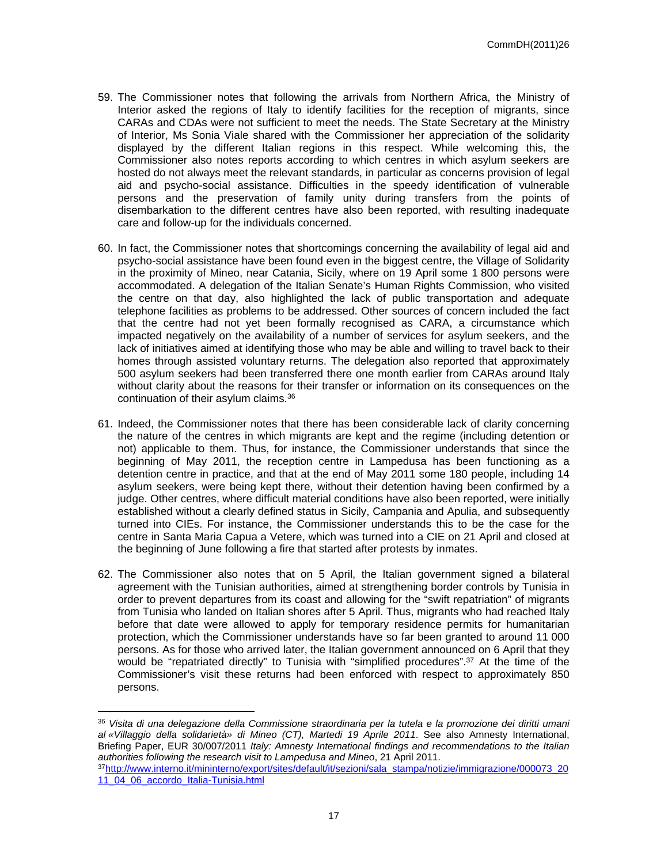- 59. The Commissioner notes that following the arrivals from Northern Africa, the Ministry of Interior asked the regions of Italy to identify facilities for the reception of migrants, since CARAs and CDAs were not sufficient to meet the needs. The State Secretary at the Ministry of Interior, Ms Sonia Viale shared with the Commissioner her appreciation of the solidarity displayed by the different Italian regions in this respect. While welcoming this, the Commissioner also notes reports according to which centres in which asylum seekers are hosted do not always meet the relevant standards, in particular as concerns provision of legal aid and psycho-social assistance. Difficulties in the speedy identification of vulnerable persons and the preservation of family unity during transfers from the points of disembarkation to the different centres have also been reported, with resulting inadequate care and follow-up for the individuals concerned.
- 60. In fact, the Commissioner notes that shortcomings concerning the availability of legal aid and psycho-social assistance have been found even in the biggest centre, the Village of Solidarity in the proximity of Mineo, near Catania, Sicily, where on 19 April some 1 800 persons were accommodated. A delegation of the Italian Senate's Human Rights Commission, who visited the centre on that day, also highlighted the lack of public transportation and adequate telephone facilities as problems to be addressed. Other sources of concern included the fact that the centre had not yet been formally recognised as CARA, a circumstance which impacted negatively on the availability of a number of services for asylum seekers, and the lack of initiatives aimed at identifying those who may be able and willing to travel back to their homes through assisted voluntary returns. The delegation also reported that approximately 500 asylum seekers had been transferred there one month earlier from CARAs around Italy without clarity about the reasons for their transfer or information on its consequences on the continuation of their asylum claims.<sup>36</sup>
- 61. Indeed, the Commissioner notes that there has been considerable lack of clarity concerning the nature of the centres in which migrants are kept and the regime (including detention or not) applicable to them. Thus, for instance, the Commissioner understands that since the beginning of May 2011, the reception centre in Lampedusa has been functioning as a detention centre in practice, and that at the end of May 2011 some 180 people, including 14 asylum seekers, were being kept there, without their detention having been confirmed by a judge. Other centres, where difficult material conditions have also been reported, were initially established without a clearly defined status in Sicily, Campania and Apulia, and subsequently turned into CIEs. For instance, the Commissioner understands this to be the case for the centre in Santa Maria Capua a Vetere, which was turned into a CIE on 21 April and closed at the beginning of June following a fire that started after protests by inmates.
- 62. The Commissioner also notes that on 5 April, the Italian government signed a bilateral agreement with the Tunisian authorities, aimed at strengthening border controls by Tunisia in order to prevent departures from its coast and allowing for the "swift repatriation" of migrants from Tunisia who landed on Italian shores after 5 April. Thus, migrants who had reached Italy before that date were allowed to apply for temporary residence permits for humanitarian protection, which the Commissioner understands have so far been granted to around 11 000 persons. As for those who arrived later, the Italian government announced on 6 April that they would be "repatriated directly" to Tunisia with "simplified procedures".<sup>37</sup> At the time of the Commissioner's visit these returns had been enforced with respect to approximately 850 persons.

<sup>36</sup> *Visita di una delegazione della Commissione straordinaria per la tutela e la promozione dei diritti umani al «Villaggio della solidarietà» di Mineo (CT), Martedi 19 Aprile 2011*. See also Amnesty International, Briefing Paper, EUR 30/007/2011 *Italy: Amnesty International findings and recommendations to the Italian authorities following the research visit to Lampedusa and Mineo*, 21 April 2011.

<sup>37</sup>[http://www.interno.it/mininterno/export/sites/default/it/sezioni/sala\\_stampa/notizie/immigrazione/000073\\_20](http://www.interno.it/mininterno/export/sites/default/it/sezioni/sala_stampa/notizie/immigrazione/000073_2011_04_06_accordo_Italia-Tunisia.html) [11\\_04\\_06\\_accordo\\_Italia-Tunisia.html](http://www.interno.it/mininterno/export/sites/default/it/sezioni/sala_stampa/notizie/immigrazione/000073_2011_04_06_accordo_Italia-Tunisia.html)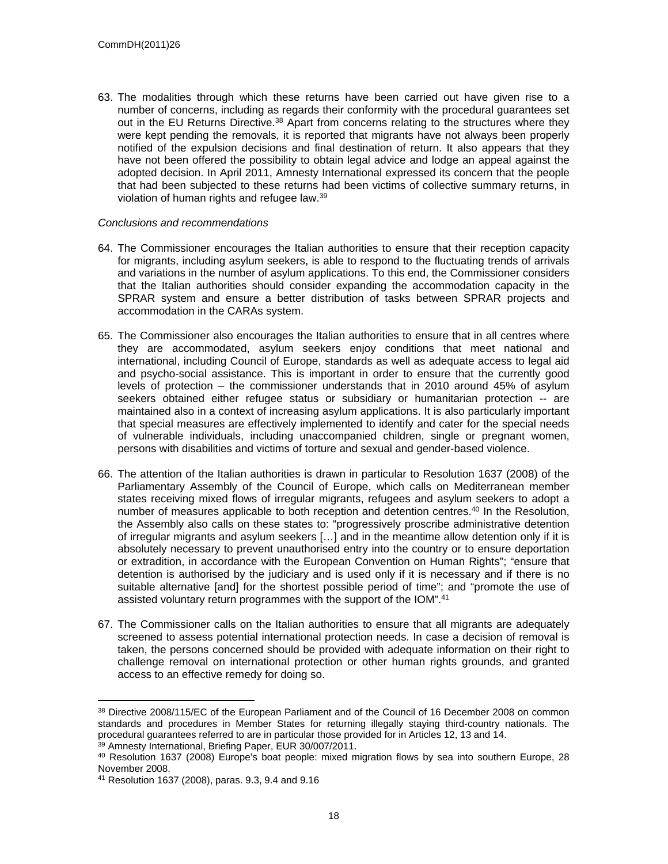63. The modalities through which these returns have been carried out have given rise to a number of concerns, including as regards their conformity with the procedural guarantees set out in the EU Returns Directive.<sup>38</sup> Apart from concerns relating to the structures where they were kept pending the removals, it is reported that migrants have not always been properly notified of the expulsion decisions and final destination of return. It also appears that they have not been offered the possibility to obtain legal advice and lodge an appeal against the adopted decision. In April 2011, Amnesty International expressed its concern that the people that had been subjected to these returns had been victims of collective summary returns, in violation of human rights and refugee law.<sup>39</sup>

- 64. The Commissioner encourages the Italian authorities to ensure that their reception capacity for migrants, including asylum seekers, is able to respond to the fluctuating trends of arrivals and variations in the number of asylum applications. To this end, the Commissioner considers that the Italian authorities should consider expanding the accommodation capacity in the SPRAR system and ensure a better distribution of tasks between SPRAR projects and accommodation in the CARAs system.
- 65. The Commissioner also encourages the Italian authorities to ensure that in all centres where they are accommodated, asylum seekers enjoy conditions that meet national and international, including Council of Europe, standards as well as adequate access to legal aid and psycho-social assistance. This is important in order to ensure that the currently good levels of protection – the commissioner understands that in 2010 around 45% of asylum seekers obtained either refugee status or subsidiary or humanitarian protection -- are maintained also in a context of increasing asylum applications. It is also particularly important that special measures are effectively implemented to identify and cater for the special needs of vulnerable individuals, including unaccompanied children, single or pregnant women, persons with disabilities and victims of torture and sexual and gender-based violence.
- 66. The attention of the Italian authorities is drawn in particular to Resolution 1637 (2008) of the Parliamentary Assembly of the Council of Europe, which calls on Mediterranean member states receiving mixed flows of irregular migrants, refugees and asylum seekers to adopt a number of measures applicable to both reception and detention centres.<sup>40</sup> In the Resolution, the Assembly also calls on these states to: "progressively proscribe administrative detention of irregular migrants and asylum seekers […] and in the meantime allow detention only if it is absolutely necessary to prevent unauthorised entry into the country or to ensure deportation or extradition, in accordance with the European Convention on Human Rights"; "ensure that detention is authorised by the judiciary and is used only if it is necessary and if there is no suitable alternative [and] for the shortest possible period of time"; and "promote the use of assisted voluntary return programmes with the support of the IOM".<sup>41</sup>
- 67. The Commissioner calls on the Italian authorities to ensure that all migrants are adequately screened to assess potential international protection needs. In case a decision of removal is taken, the persons concerned should be provided with adequate information on their right to challenge removal on international protection or other human rights grounds, and granted access to an effective remedy for doing so.

<sup>38</sup> Directive 2008/115/EC of the European Parliament and of the Council of 16 December 2008 on common standards and procedures in Member States for returning illegally staying third-country nationals. The procedural guarantees referred to are in particular those provided for in Articles 12, 13 and 14.

<sup>39</sup> Amnesty International, Briefing Paper, EUR 30/007/2011.

<sup>40</sup> Resolution 1637 (2008) Europe's boat people: mixed migration flows by sea into southern Europe, 28 November 2008.

<sup>41</sup> Resolution 1637 (2008), paras. 9.3, 9.4 and 9.16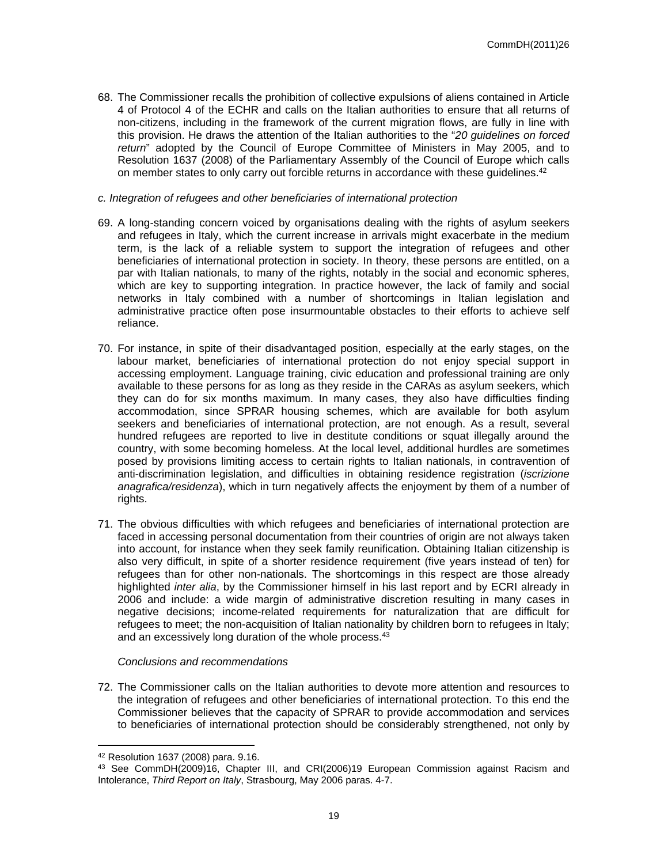68. The Commissioner recalls the prohibition of collective expulsions of aliens contained in Article 4 of Protocol 4 of the ECHR and calls on the Italian authorities to ensure that all returns of non-citizens, including in the framework of the current migration flows, are fully in line with this provision. He draws the attention of the Italian authorities to the "*20 guidelines on forced return*" adopted by the Council of Europe Committee of Ministers in May 2005, and to Resolution 1637 (2008) of the Parliamentary Assembly of the Council of Europe which calls on member states to only carry out forcible returns in accordance with these quidelines.<sup>42</sup>

#### *c. Integration of refugees and other beneficiaries of international protection*

- 69. A long-standing concern voiced by organisations dealing with the rights of asylum seekers and refugees in Italy, which the current increase in arrivals might exacerbate in the medium term, is the lack of a reliable system to support the integration of refugees and other beneficiaries of international protection in society. In theory, these persons are entitled, on a par with Italian nationals, to many of the rights, notably in the social and economic spheres, which are key to supporting integration. In practice however, the lack of family and social networks in Italy combined with a number of shortcomings in Italian legislation and administrative practice often pose insurmountable obstacles to their efforts to achieve self reliance.
- 70. For instance, in spite of their disadvantaged position, especially at the early stages, on the labour market, beneficiaries of international protection do not enjoy special support in accessing employment. Language training, civic education and professional training are only available to these persons for as long as they reside in the CARAs as asylum seekers, which they can do for six months maximum. In many cases, they also have difficulties finding accommodation, since SPRAR housing schemes, which are available for both asylum seekers and beneficiaries of international protection, are not enough. As a result, several hundred refugees are reported to live in destitute conditions or squat illegally around the country, with some becoming homeless. At the local level, additional hurdles are sometimes posed by provisions limiting access to certain rights to Italian nationals, in contravention of anti-discrimination legislation, and difficulties in obtaining residence registration (*iscrizione anagrafica/residenza*), which in turn negatively affects the enjoyment by them of a number of rights.
- 71. The obvious difficulties with which refugees and beneficiaries of international protection are faced in accessing personal documentation from their countries of origin are not always taken into account, for instance when they seek family reunification. Obtaining Italian citizenship is also very difficult, in spite of a shorter residence requirement (five years instead of ten) for refugees than for other non-nationals. The shortcomings in this respect are those already highlighted *inter alia*, by the Commissioner himself in his last report and by ECRI already in 2006 and include: a wide margin of administrative discretion resulting in many cases in negative decisions; income-related requirements for naturalization that are difficult for refugees to meet; the non-acquisition of Italian nationality by children born to refugees in Italy; and an excessively long duration of the whole process.<sup>43</sup>

#### *Conclusions and recommendations*

72. The Commissioner calls on the Italian authorities to devote more attention and resources to the integration of refugees and other beneficiaries of international protection. To this end the Commissioner believes that the capacity of SPRAR to provide accommodation and services to beneficiaries of international protection should be considerably strengthened, not only by

<sup>42</sup> Resolution 1637 (2008) para. 9.16.

<sup>43</sup> See CommDH(2009)16, Chapter III, and CRI(2006)19 European Commission against Racism and Intolerance, *Third Report on Italy*, Strasbourg, May 2006 paras. 4-7.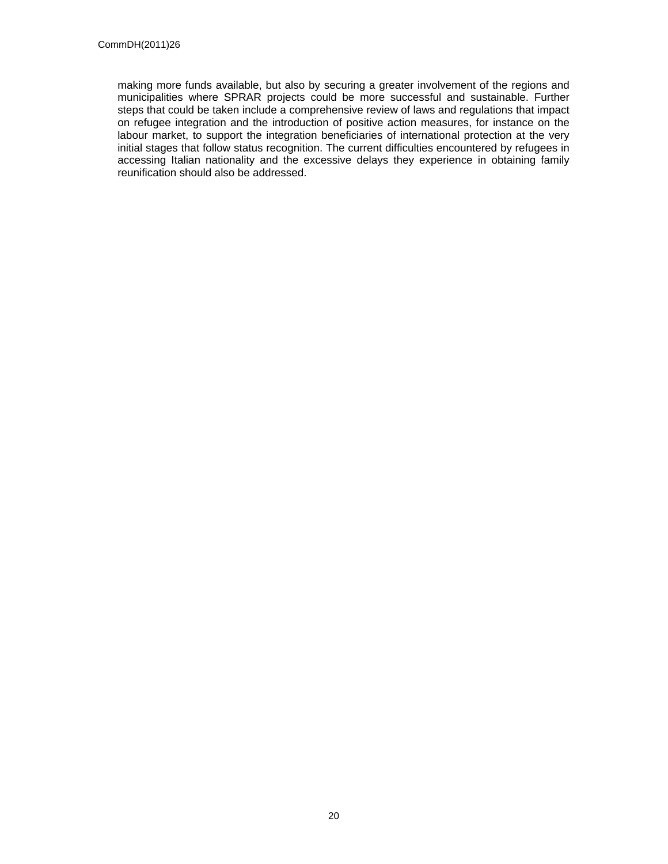making more funds available, but also by securing a greater involvement of the regions and municipalities where SPRAR projects could be more successful and sustainable. Further steps that could be taken include a comprehensive review of laws and regulations that impact on refugee integration and the introduction of positive action measures, for instance on the labour market, to support the integration beneficiaries of international protection at the very initial stages that follow status recognition. The current difficulties encountered by refugees in accessing Italian nationality and the excessive delays they experience in obtaining family reunification should also be addressed.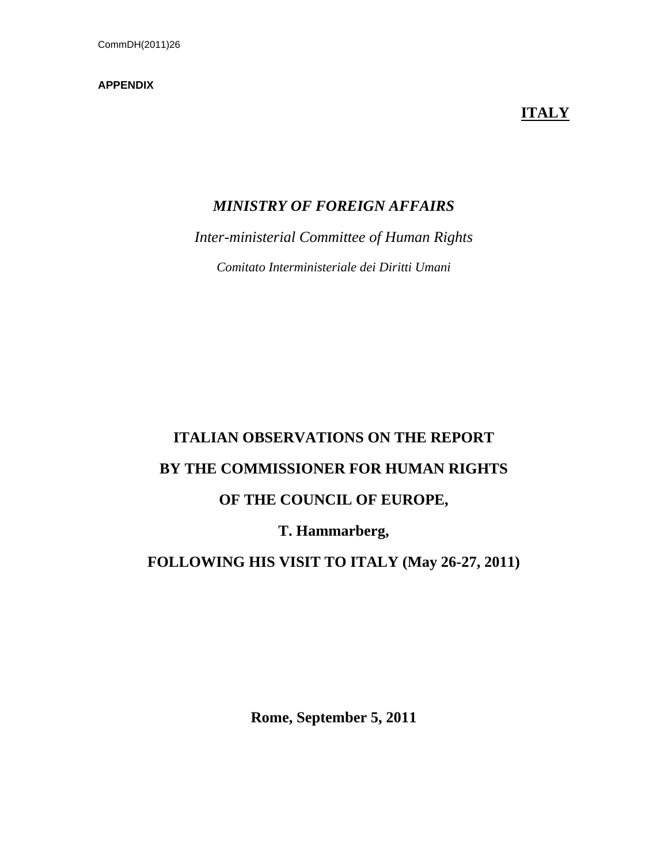## **APPENDIX**

# **ITALY**

# *MINISTRY OF FOREIGN AFFAIRS*

*Inter-ministerial Committee of Human Rights*

*Comitato Interministeriale dei Diritti Umani*

# **ITALIAN OBSERVATIONS ON THE REPORT BY THE COMMISSIONER FOR HUMAN RIGHTS OF THE COUNCIL OF EUROPE,**

# **T. Hammarberg,**

# **FOLLOWING HIS VISIT TO ITALY (May 26-27, 2011)**

**Rome, September 5, 2011**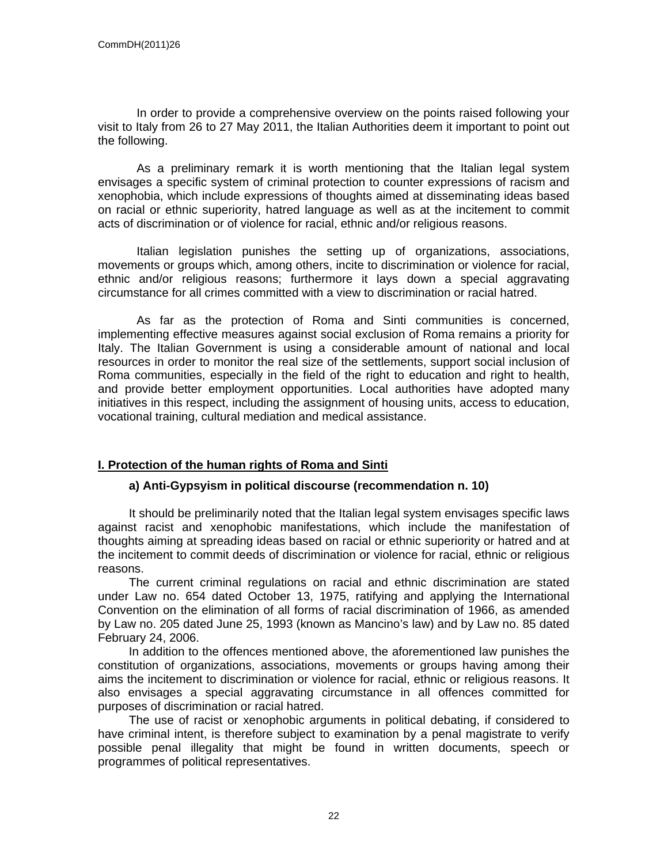In order to provide a comprehensive overview on the points raised following your visit to Italy from 26 to 27 May 2011, the Italian Authorities deem it important to point out the following.

As a preliminary remark it is worth mentioning that the Italian legal system envisages a specific system of criminal protection to counter expressions of racism and xenophobia, which include expressions of thoughts aimed at disseminating ideas based on racial or ethnic superiority, hatred language as well as at the incitement to commit acts of discrimination or of violence for racial, ethnic and/or religious reasons.

Italian legislation punishes the setting up of organizations, associations, movements or groups which, among others, incite to discrimination or violence for racial, ethnic and/or religious reasons; furthermore it lays down a special aggravating circumstance for all crimes committed with a view to discrimination or racial hatred.

As far as the protection of Roma and Sinti communities is concerned, implementing effective measures against social exclusion of Roma remains a priority for Italy. The Italian Government is using a considerable amount of national and local resources in order to monitor the real size of the settlements, support social inclusion of Roma communities, especially in the field of the right to education and right to health, and provide better employment opportunities. Local authorities have adopted many initiatives in this respect, including the assignment of housing units, access to education, vocational training, cultural mediation and medical assistance.

# **I. Protection of the human rights of Roma and Sinti**

## **a) Anti-Gypsyism in political discourse (recommendation n. 10)**

It should be preliminarily noted that the Italian legal system envisages specific laws against racist and xenophobic manifestations, which include the manifestation of thoughts aiming at spreading ideas based on racial or ethnic superiority or hatred and at the incitement to commit deeds of discrimination or violence for racial, ethnic or religious reasons.

The current criminal regulations on racial and ethnic discrimination are stated under Law no. 654 dated October 13, 1975, ratifying and applying the International Convention on the elimination of all forms of racial discrimination of 1966, as amended by Law no. 205 dated June 25, 1993 (known as Mancino's law) and by Law no. 85 dated February 24, 2006.

In addition to the offences mentioned above, the aforementioned law punishes the constitution of organizations, associations, movements or groups having among their aims the incitement to discrimination or violence for racial, ethnic or religious reasons. It also envisages a special aggravating circumstance in all offences committed for purposes of discrimination or racial hatred.

The use of racist or xenophobic arguments in political debating, if considered to have criminal intent, is therefore subject to examination by a penal magistrate to verify possible penal illegality that might be found in written documents, speech or programmes of political representatives.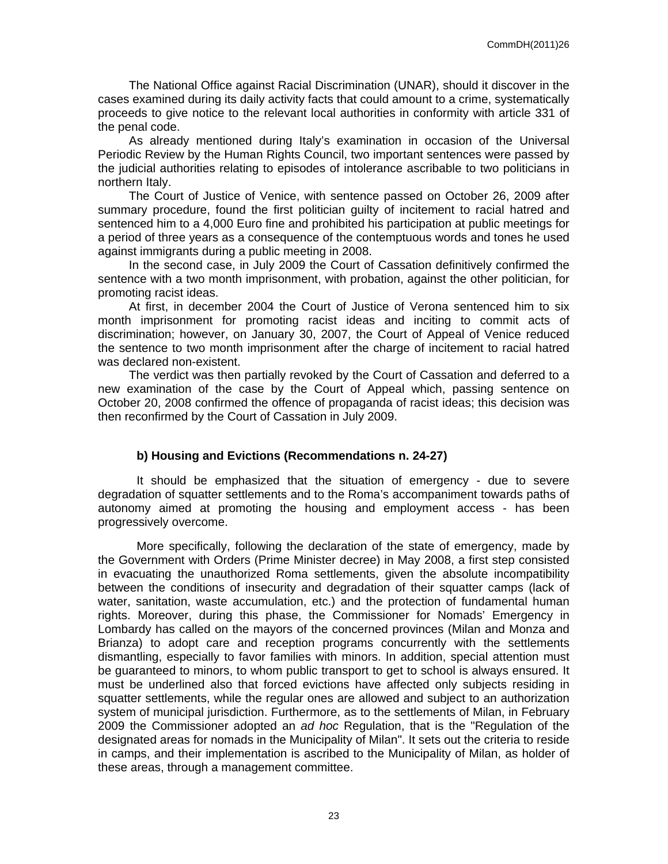The National Office against Racial Discrimination (UNAR), should it discover in the cases examined during its daily activity facts that could amount to a crime, systematically proceeds to give notice to the relevant local authorities in conformity with article 331 of the penal code.

As already mentioned during Italy's examination in occasion of the Universal Periodic Review by the Human Rights Council, two important sentences were passed by the judicial authorities relating to episodes of intolerance ascribable to two politicians in northern Italy.

The Court of Justice of Venice, with sentence passed on October 26, 2009 after summary procedure, found the first politician guilty of incitement to racial hatred and sentenced him to a 4,000 Euro fine and prohibited his participation at public meetings for a period of three years as a consequence of the contemptuous words and tones he used against immigrants during a public meeting in 2008.

In the second case, in July 2009 the Court of Cassation definitively confirmed the sentence with a two month imprisonment, with probation, against the other politician, for promoting racist ideas.

At first, in december 2004 the Court of Justice of Verona sentenced him to six month imprisonment for promoting racist ideas and inciting to commit acts of discrimination; however, on January 30, 2007, the Court of Appeal of Venice reduced the sentence to two month imprisonment after the charge of incitement to racial hatred was declared non-existent.

The verdict was then partially revoked by the Court of Cassation and deferred to a new examination of the case by the Court of Appeal which, passing sentence on October 20, 2008 confirmed the offence of propaganda of racist ideas; this decision was then reconfirmed by the Court of Cassation in July 2009.

## **b) Housing and Evictions (Recommendations n. 24-27)**

It should be emphasized that the situation of emergency - due to severe degradation of squatter settlements and to the Roma's accompaniment towards paths of autonomy aimed at promoting the housing and employment access - has been progressively overcome.

More specifically, following the declaration of the state of emergency, made by the Government with Orders (Prime Minister decree) in May 2008, a first step consisted in evacuating the unauthorized Roma settlements, given the absolute incompatibility between the conditions of insecurity and degradation of their squatter camps (lack of water, sanitation, waste accumulation, etc.) and the protection of fundamental human rights. Moreover, during this phase, the Commissioner for Nomads' Emergency in Lombardy has called on the mayors of the concerned provinces (Milan and Monza and Brianza) to adopt care and reception programs concurrently with the settlements dismantling, especially to favor families with minors. In addition, special attention must be guaranteed to minors, to whom public transport to get to school is always ensured. It must be underlined also that forced evictions have affected only subjects residing in squatter settlements, while the regular ones are allowed and subject to an authorization system of municipal jurisdiction. Furthermore, as to the settlements of Milan, in February 2009 the Commissioner adopted an *ad hoc* Regulation, that is the "Regulation of the designated areas for nomads in the Municipality of Milan". It sets out the criteria to reside in camps, and their implementation is ascribed to the Municipality of Milan, as holder of these areas, through a management committee.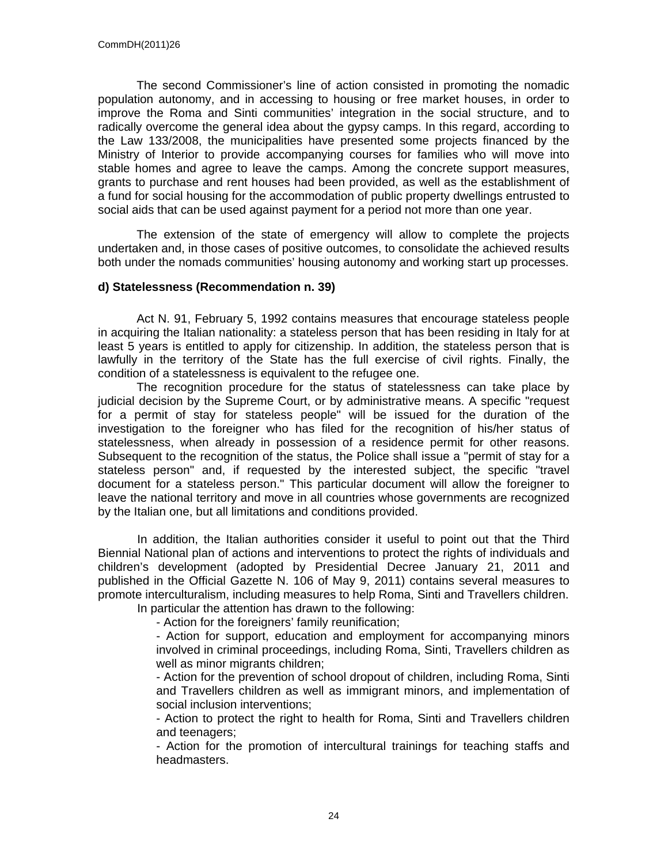The second Commissioner's line of action consisted in promoting the nomadic population autonomy, and in accessing to housing or free market houses, in order to improve the Roma and Sinti communities' integration in the social structure, and to radically overcome the general idea about the gypsy camps. In this regard, according to the Law 133/2008, the municipalities have presented some projects financed by the Ministry of Interior to provide accompanying courses for families who will move into stable homes and agree to leave the camps. Among the concrete support measures, grants to purchase and rent houses had been provided, as well as the establishment of a fund for social housing for the accommodation of public property dwellings entrusted to social aids that can be used against payment for a period not more than one year.

The extension of the state of emergency will allow to complete the projects undertaken and, in those cases of positive outcomes, to consolidate the achieved results both under the nomads communities' housing autonomy and working start up processes.

# **d) Statelessness (Recommendation n. 39)**

Act N. 91, February 5, 1992 contains measures that encourage stateless people in acquiring the Italian nationality: a stateless person that has been residing in Italy for at least 5 years is entitled to apply for citizenship. In addition, the stateless person that is lawfully in the territory of the State has the full exercise of civil rights. Finally, the condition of a statelessness is equivalent to the refugee one.

The recognition procedure for the status of statelessness can take place by judicial decision by the Supreme Court, or by administrative means. A specific "request for a permit of stay for stateless people" will be issued for the duration of the investigation to the foreigner who has filed for the recognition of his/her status of statelessness, when already in possession of a residence permit for other reasons. Subsequent to the recognition of the status, the Police shall issue a "permit of stay for a stateless person" and, if requested by the interested subject, the specific "travel document for a stateless person." This particular document will allow the foreigner to leave the national territory and move in all countries whose governments are recognized by the Italian one, but all limitations and conditions provided.

In addition, the Italian authorities consider it useful to point out that the Third Biennial National plan of actions and interventions to protect the rights of individuals and children's development (adopted by Presidential Decree January 21, 2011 and published in the Official Gazette N. 106 of May 9, 2011) contains several measures to promote interculturalism, including measures to help Roma, Sinti and Travellers children. In particular the attention has drawn to the following:

- Action for the foreigners' family reunification;

- Action for support, education and employment for accompanying minors involved in criminal proceedings, including Roma, Sinti, Travellers children as well as minor migrants children;

- Action for the prevention of school dropout of children, including Roma, Sinti and Travellers children as well as immigrant minors, and implementation of social inclusion interventions;

- Action to protect the right to health for Roma, Sinti and Travellers children and teenagers;

- Action for the promotion of intercultural trainings for teaching staffs and headmasters.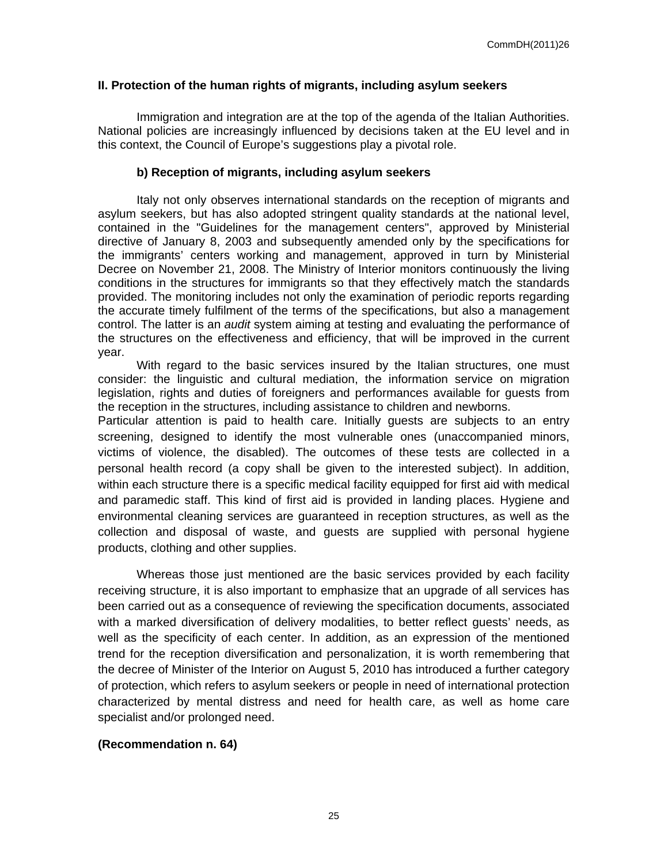## **II. Protection of the human rights of migrants, including asylum seekers**

Immigration and integration are at the top of the agenda of the Italian Authorities. National policies are increasingly influenced by decisions taken at the EU level and in this context, the Council of Europe's suggestions play a pivotal role.

## **b) Reception of migrants, including asylum seekers**

Italy not only observes international standards on the reception of migrants and asylum seekers, but has also adopted stringent quality standards at the national level, contained in the "Guidelines for the management centers", approved by Ministerial directive of January 8, 2003 and subsequently amended only by the specifications for the immigrants' centers working and management, approved in turn by Ministerial Decree on November 21, 2008. The Ministry of Interior monitors continuously the living conditions in the structures for immigrants so that they effectively match the standards provided. The monitoring includes not only the examination of periodic reports regarding the accurate timely fulfilment of the terms of the specifications, but also a management control. The latter is an *audit* system aiming at testing and evaluating the performance of the structures on the effectiveness and efficiency, that will be improved in the current year.

With regard to the basic services insured by the Italian structures, one must consider: the linguistic and cultural mediation, the information service on migration legislation, rights and duties of foreigners and performances available for guests from the reception in the structures, including assistance to children and newborns.

Particular attention is paid to health care. Initially guests are subjects to an entry screening, designed to identify the most vulnerable ones (unaccompanied minors, victims of violence, the disabled). The outcomes of these tests are collected in a personal health record (a copy shall be given to the interested subject). In addition, within each structure there is a specific medical facility equipped for first aid with medical and paramedic staff. This kind of first aid is provided in landing places. Hygiene and environmental cleaning services are guaranteed in reception structures, as well as the collection and disposal of waste, and guests are supplied with personal hygiene products, clothing and other supplies.

Whereas those just mentioned are the basic services provided by each facility receiving structure, it is also important to emphasize that an upgrade of all services has been carried out as a consequence of reviewing the specification documents, associated with a marked diversification of delivery modalities, to better reflect guests' needs, as well as the specificity of each center. In addition, as an expression of the mentioned trend for the reception diversification and personalization, it is worth remembering that the decree of Minister of the Interior on August 5, 2010 has introduced a further category of protection, which refers to asylum seekers or people in need of international protection characterized by mental distress and need for health care, as well as home care specialist and/or prolonged need.

# **(Recommendation n. 64)**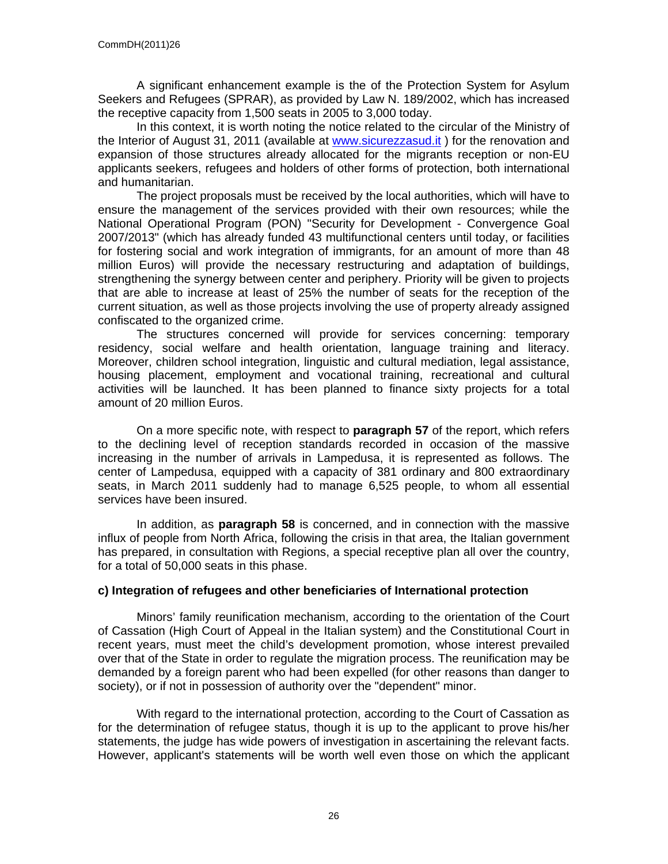A significant enhancement example is the of the Protection System for Asylum Seekers and Refugees (SPRAR), as provided by Law N. 189/2002, which has increased the receptive capacity from 1,500 seats in 2005 to 3,000 today.

In this context, it is worth noting the notice related to the circular of the Ministry of the Interior of August 31, 2011 (available at [www.sicurezzasud.it](http://www.sicurezzasud.it) ) for the renovation and expansion of those structures already allocated for the migrants reception or non-EU applicants seekers, refugees and holders of other forms of protection, both international and humanitarian.

The project proposals must be received by the local authorities, which will have to ensure the management of the services provided with their own resources; while the National Operational Program (PON) "Security for Development - Convergence Goal 2007/2013" (which has already funded 43 multifunctional centers until today, or facilities for fostering social and work integration of immigrants, for an amount of more than 48 million Euros) will provide the necessary restructuring and adaptation of buildings, strengthening the synergy between center and periphery. Priority will be given to projects that are able to increase at least of 25% the number of seats for the reception of the current situation, as well as those projects involving the use of property already assigned confiscated to the organized crime.

The structures concerned will provide for services concerning: temporary residency, social welfare and health orientation, language training and literacy. Moreover, children school integration, linguistic and cultural mediation, legal assistance, housing placement, employment and vocational training, recreational and cultural activities will be launched. It has been planned to finance sixty projects for a total amount of 20 million Euros.

On a more specific note, with respect to **paragraph 57** of the report, which refers to the declining level of reception standards recorded in occasion of the massive increasing in the number of arrivals in Lampedusa, it is represented as follows. The center of Lampedusa, equipped with a capacity of 381 ordinary and 800 extraordinary seats, in March 2011 suddenly had to manage 6,525 people, to whom all essential services have been insured.

In addition, as **paragraph 58** is concerned, and in connection with the massive influx of people from North Africa, following the crisis in that area, the Italian government has prepared, in consultation with Regions, a special receptive plan all over the country, for a total of 50,000 seats in this phase.

# **c) Integration of refugees and other beneficiaries of International protection**

Minors' family reunification mechanism, according to the orientation of the Court of Cassation (High Court of Appeal in the Italian system) and the Constitutional Court in recent years, must meet the child's development promotion, whose interest prevailed over that of the State in order to regulate the migration process. The reunification may be demanded by a foreign parent who had been expelled (for other reasons than danger to society), or if not in possession of authority over the "dependent" minor.

With regard to the international protection, according to the Court of Cassation as for the determination of refugee status, though it is up to the applicant to prove his/her statements, the judge has wide powers of investigation in ascertaining the relevant facts. However, applicant's statements will be worth well even those on which the applicant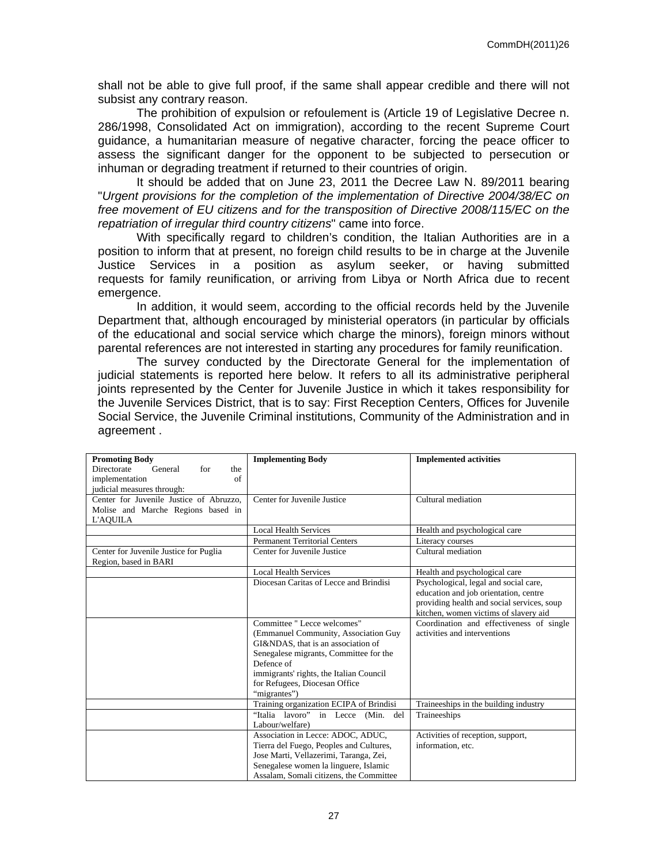shall not be able to give full proof, if the same shall appear credible and there will not subsist any contrary reason.

The prohibition of expulsion or refoulement is (Article 19 of Legislative Decree n. 286/1998, Consolidated Act on immigration), according to the recent Supreme Court guidance, a humanitarian measure of negative character, forcing the peace officer to assess the significant danger for the opponent to be subjected to persecution or inhuman or degrading treatment if returned to their countries of origin.

It should be added that on June 23, 2011 the Decree Law N. 89/2011 bearing "*Urgent provisions for the completion of the implementation of Directive 2004/38/EC on free movement of EU citizens and for the transposition of Directive 2008/115/EC on the repatriation of irregular third country citizens*" came into force.

With specifically regard to children's condition, the Italian Authorities are in a position to inform that at present, no foreign child results to be in charge at the Juvenile Justice Services in a position as asylum seeker, or having submitted requests for family reunification, or arriving from Libya or North Africa due to recent emergence.

In addition, it would seem, according to the official records held by the Juvenile Department that, although encouraged by ministerial operators (in particular by officials of the educational and social service which charge the minors), foreign minors without parental references are not interested in starting any procedures for family reunification.

The survey conducted by the Directorate General for the implementation of judicial statements is reported here below. It refers to all its administrative peripheral joints represented by the Center for Juvenile Justice in which it takes responsibility for the Juvenile Services District, that is to say: First Reception Centers, Offices for Juvenile Social Service, the Juvenile Criminal institutions, Community of the Administration and in agreement .

| <b>Promoting Body</b><br>Directorate<br>General<br>the<br>for   | <b>Implementing Body</b>                | <b>Implemented activities</b>              |
|-----------------------------------------------------------------|-----------------------------------------|--------------------------------------------|
| implementation<br>of                                            |                                         |                                            |
| judicial measures through:                                      |                                         |                                            |
| Center for Juvenile Justice of Abruzzo.                         | Center for Juvenile Justice             | Cultural mediation                         |
| Molise and Marche Regions based in                              |                                         |                                            |
| L'AQUILA                                                        |                                         |                                            |
|                                                                 | <b>Local Health Services</b>            | Health and psychological care              |
|                                                                 | <b>Permanent Territorial Centers</b>    | Literacy courses                           |
| Center for Juvenile Justice for Puglia<br>Region, based in BARI | Center for Juvenile Justice             | Cultural mediation                         |
|                                                                 | <b>Local Health Services</b>            | Health and psychological care              |
|                                                                 | Diocesan Caritas of Lecce and Brindisi  | Psychological, legal and social care,      |
|                                                                 |                                         | education and job orientation, centre      |
|                                                                 |                                         | providing health and social services, soup |
|                                                                 |                                         | kitchen, women victims of slavery aid      |
|                                                                 | Committee " Lecce welcomes"             | Coordination and effectiveness of single   |
|                                                                 | (Emmanuel Community, Association Guy    | activities and interventions               |
|                                                                 | GI&NDAS, that is an association of      |                                            |
|                                                                 | Senegalese migrants, Committee for the  |                                            |
|                                                                 | Defence of                              |                                            |
|                                                                 | immigrants' rights, the Italian Council |                                            |
|                                                                 | for Refugees, Diocesan Office           |                                            |
|                                                                 | "migrantes")                            |                                            |
|                                                                 | Training organization ECIPA of Brindisi | Traineeships in the building industry      |
|                                                                 | "Italia lavoro" in Lecce (Min.<br>del   | Traineeships                               |
|                                                                 | Labour/welfare)                         |                                            |
|                                                                 | Association in Lecce: ADOC, ADUC,       | Activities of reception, support,          |
|                                                                 | Tierra del Fuego, Peoples and Cultures, | information, etc.                          |
|                                                                 | Jose Marti, Vellazerimi, Taranga, Zei,  |                                            |
|                                                                 | Senegalese women la linguere, Islamic   |                                            |
|                                                                 | Assalam, Somali citizens, the Committee |                                            |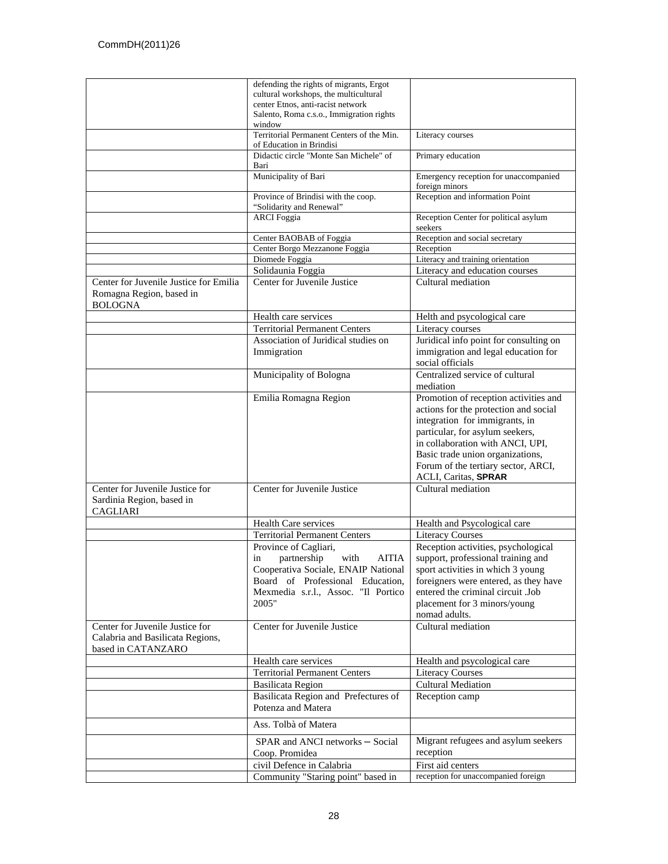|                                                                                      | defending the rights of migrants, Ergot                               |                                                         |
|--------------------------------------------------------------------------------------|-----------------------------------------------------------------------|---------------------------------------------------------|
|                                                                                      | cultural workshops, the multicultural                                 |                                                         |
|                                                                                      | center Etnos, anti-racist network                                     |                                                         |
|                                                                                      | Salento, Roma c.s.o., Immigration rights                              |                                                         |
|                                                                                      | window                                                                |                                                         |
|                                                                                      | Territorial Permanent Centers of the Min.<br>of Education in Brindisi | Literacy courses                                        |
|                                                                                      | Didactic circle "Monte San Michele" of<br>Bari                        | Primary education                                       |
|                                                                                      | Municipality of Bari                                                  | Emergency reception for unaccompanied<br>foreign minors |
|                                                                                      | Province of Brindisi with the coop.                                   | Reception and information Point                         |
|                                                                                      | "Solidarity and Renewal"                                              |                                                         |
|                                                                                      | <b>ARCI</b> Foggia                                                    | Reception Center for political asylum<br>seekers        |
|                                                                                      | Center BAOBAB of Foggia                                               | Reception and social secretary                          |
|                                                                                      | Center Borgo Mezzanone Foggia                                         | Reception                                               |
|                                                                                      | Diomede Foggia                                                        | Literacy and training orientation                       |
|                                                                                      | Solidaunia Foggia                                                     | Literacy and education courses                          |
| Center for Juvenile Justice for Emilia<br>Romagna Region, based in<br><b>BOLOGNA</b> | Center for Juvenile Justice                                           | Cultural mediation                                      |
|                                                                                      | Health care services                                                  | Helth and psycological care                             |
|                                                                                      | <b>Territorial Permanent Centers</b>                                  | Literacy courses                                        |
|                                                                                      | Association of Juridical studies on                                   | Juridical info point for consulting on                  |
|                                                                                      | Immigration                                                           | immigration and legal education for                     |
|                                                                                      |                                                                       | social officials                                        |
|                                                                                      | Municipality of Bologna                                               | Centralized service of cultural<br>mediation            |
|                                                                                      | Emilia Romagna Region                                                 | Promotion of reception activities and                   |
|                                                                                      |                                                                       | actions for the protection and social                   |
|                                                                                      |                                                                       | integration for immigrants, in                          |
|                                                                                      |                                                                       | particular, for asylum seekers,                         |
|                                                                                      |                                                                       | in collaboration with ANCI, UPI,                        |
|                                                                                      |                                                                       | Basic trade union organizations,                        |
|                                                                                      |                                                                       | Forum of the tertiary sector, ARCI,                     |
|                                                                                      |                                                                       | <b>ACLI, Caritas, SPRAR</b>                             |
| Center for Juvenile Justice for<br>Sardinia Region, based in<br><b>CAGLIARI</b>      | Center for Juvenile Justice                                           | Cultural mediation                                      |
|                                                                                      | Health Care services                                                  |                                                         |
|                                                                                      |                                                                       | Health and Psycological care                            |
|                                                                                      | <b>Territorial Permanent Centers</b>                                  | <b>Literacy Courses</b>                                 |
|                                                                                      | Province of Cagliari,                                                 | Reception activities, psychological                     |
|                                                                                      | partnership<br><b>AITIA</b><br>in<br>with                             | support, professional training and                      |
|                                                                                      | Cooperativa Sociale, ENAIP National                                   | sport activities in which 3 young                       |
|                                                                                      | Board of Professional Education,                                      | foreigners were entered, as they have                   |
|                                                                                      | Mexmedia s.r.l., Assoc. "Il Portico                                   | entered the criminal circuit .Job                       |
|                                                                                      | 2005"                                                                 | placement for 3 minors/young                            |
|                                                                                      |                                                                       | nomad adults.                                           |
| Center for Juvenile Justice for                                                      | Center for Juvenile Justice                                           | Cultural mediation                                      |
| Calabria and Basilicata Regions,                                                     |                                                                       |                                                         |
| based in CATANZARO                                                                   |                                                                       |                                                         |
|                                                                                      | Health care services                                                  | Health and psycological care                            |
|                                                                                      | <b>Territorial Permanent Centers</b>                                  | <b>Literacy Courses</b>                                 |
|                                                                                      | <b>Basilicata Region</b>                                              | <b>Cultural Mediation</b>                               |
|                                                                                      | Basilicata Region and Prefectures of                                  | Reception camp                                          |
|                                                                                      | Potenza and Matera                                                    |                                                         |
|                                                                                      | Ass. Tolbà of Matera                                                  |                                                         |
|                                                                                      | SPAR and ANCI networks - Social                                       | Migrant refugees and asylum seekers                     |
|                                                                                      | Coop. Promidea                                                        | reception                                               |
|                                                                                      | civil Defence in Calabria                                             | First aid centers                                       |
|                                                                                      | Community "Staring point" based in                                    | reception for unaccompanied foreign                     |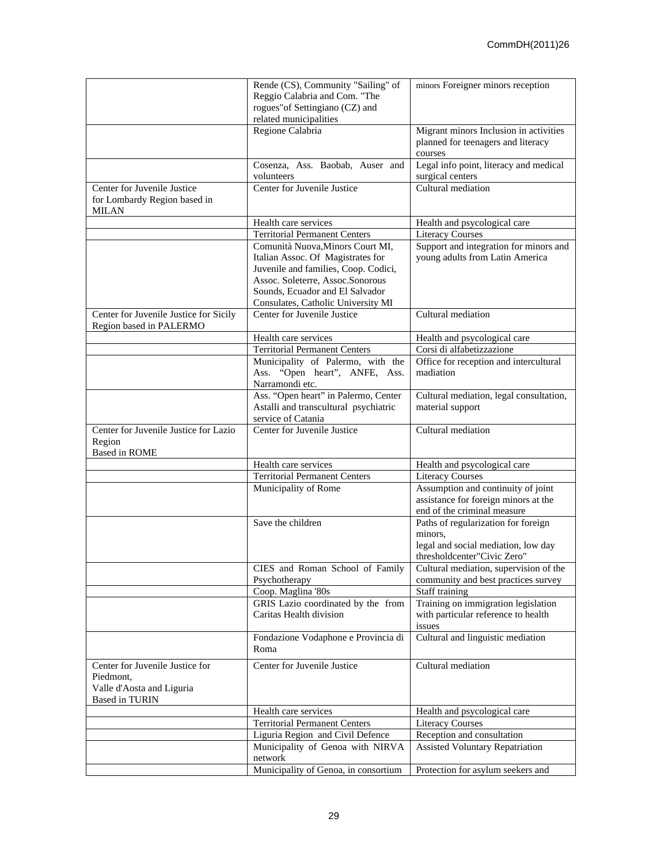|                                                                   | Rende (CS), Community "Sailing" of                                | minors Foreigner minors reception       |
|-------------------------------------------------------------------|-------------------------------------------------------------------|-----------------------------------------|
|                                                                   | Reggio Calabria and Com. "The                                     |                                         |
|                                                                   | rogues" of Settingiano (CZ) and                                   |                                         |
|                                                                   | related municipalities                                            |                                         |
|                                                                   | Regione Calabria                                                  | Migrant minors Inclusion in activities  |
|                                                                   |                                                                   | planned for teenagers and literacy      |
|                                                                   |                                                                   | courses                                 |
|                                                                   | Cosenza, Ass. Baobab, Auser and                                   | Legal info point, literacy and medical  |
|                                                                   | volunteers                                                        | surgical centers                        |
| Center for Juvenile Justice                                       | Center for Juvenile Justice                                       | Cultural mediation                      |
| for Lombardy Region based in                                      |                                                                   |                                         |
| MILAN                                                             |                                                                   |                                         |
|                                                                   | Health care services                                              | Health and psycological care            |
|                                                                   | <b>Territorial Permanent Centers</b>                              | <b>Literacy Courses</b>                 |
|                                                                   | Comunità Nuova, Minors Court MI,                                  | Support and integration for minors and  |
|                                                                   | Italian Assoc. Of Magistrates for                                 | young adults from Latin America         |
|                                                                   | Juvenile and families, Coop. Codici,                              |                                         |
|                                                                   | Assoc. Soleterre, Assoc. Sonorous                                 |                                         |
|                                                                   | Sounds, Ecuador and El Salvador                                   |                                         |
|                                                                   | Consulates, Catholic University MI<br>Center for Juvenile Justice | Cultural mediation                      |
| Center for Juvenile Justice for Sicily<br>Region based in PALERMO |                                                                   |                                         |
|                                                                   | Health care services                                              | Health and psycological care            |
|                                                                   | <b>Territorial Permanent Centers</b>                              | Corsi di alfabetizzazione               |
|                                                                   | Municipality of Palermo, with the                                 | Office for reception and intercultural  |
|                                                                   | Ass. "Open heart", ANFE, Ass.                                     | madiation                               |
|                                                                   | Narramondi etc.                                                   |                                         |
|                                                                   | Ass. "Open heart" in Palermo, Center                              | Cultural mediation, legal consultation, |
|                                                                   | Astalli and transcultural psychiatric                             | material support                        |
|                                                                   | service of Catania                                                |                                         |
| Center for Juvenile Justice for Lazio                             | Center for Juvenile Justice                                       | Cultural mediation                      |
| Region                                                            |                                                                   |                                         |
| <b>Based in ROME</b>                                              |                                                                   |                                         |
|                                                                   | Health care services                                              | Health and psycological care            |
|                                                                   | <b>Territorial Permanent Centers</b>                              | <b>Literacy Courses</b>                 |
|                                                                   | Municipality of Rome                                              | Assumption and continuity of joint      |
|                                                                   |                                                                   | assistance for foreign minors at the    |
|                                                                   |                                                                   | end of the criminal measure             |
|                                                                   | Save the children                                                 | Paths of regularization for foreign     |
|                                                                   |                                                                   | minors.                                 |
|                                                                   |                                                                   | legal and social mediation, low day     |
|                                                                   |                                                                   | thresholdcenter"Civic Zero"             |
|                                                                   | CIES and Roman School of Family                                   | Cultural mediation, supervision of the  |
|                                                                   | Psychotherapy                                                     | community and best practices survey     |
|                                                                   | Coop. Maglina '80s                                                | Staff training                          |
|                                                                   | GRIS Lazio coordinated by the from                                | Training on immigration legislation     |
|                                                                   | Caritas Health division                                           | with particular reference to health     |
|                                                                   |                                                                   | issues                                  |
|                                                                   | Fondazione Vodaphone e Provincia di                               | Cultural and linguistic mediation       |
|                                                                   | Roma                                                              |                                         |
| Center for Juvenile Justice for                                   | Center for Juvenile Justice                                       | Cultural mediation                      |
| Piedmont,                                                         |                                                                   |                                         |
| Valle d'Aosta and Liguria                                         |                                                                   |                                         |
| <b>Based in TURIN</b>                                             |                                                                   |                                         |
|                                                                   | Health care services                                              | Health and psycological care            |
|                                                                   | <b>Territorial Permanent Centers</b>                              | <b>Literacy Courses</b>                 |
|                                                                   | Liguria Region and Civil Defence                                  | Reception and consultation              |
|                                                                   | Municipality of Genoa with NIRVA                                  | <b>Assisted Voluntary Repatriation</b>  |
|                                                                   | network                                                           |                                         |
|                                                                   | Municipality of Genoa, in consortium                              | Protection for asylum seekers and       |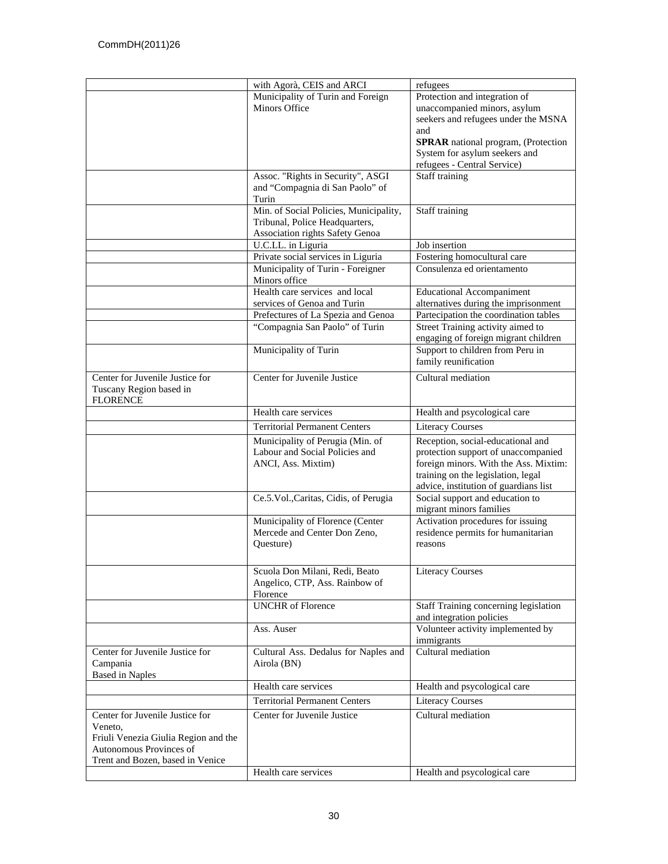|                                                                                                                                                   | with Agorà, CEIS and ARCI                                                                                   | refugees                                                                                                                                                                                                                  |
|---------------------------------------------------------------------------------------------------------------------------------------------------|-------------------------------------------------------------------------------------------------------------|---------------------------------------------------------------------------------------------------------------------------------------------------------------------------------------------------------------------------|
|                                                                                                                                                   | Municipality of Turin and Foreign<br><b>Minors Office</b>                                                   | Protection and integration of<br>unaccompanied minors, asylum<br>seekers and refugees under the MSNA<br>and<br><b>SPRAR</b> national program, (Protection<br>System for asylum seekers and<br>refugees - Central Service) |
|                                                                                                                                                   | Assoc. "Rights in Security", ASGI<br>and "Compagnia di San Paolo" of<br>Turin                               | Staff training                                                                                                                                                                                                            |
|                                                                                                                                                   | Min. of Social Policies, Municipality,<br>Tribunal, Police Headquarters,<br>Association rights Safety Genoa | Staff training                                                                                                                                                                                                            |
|                                                                                                                                                   | U.C.LL. in Liguria                                                                                          | Job insertion                                                                                                                                                                                                             |
|                                                                                                                                                   | Private social services in Liguria                                                                          | Fostering homocultural care                                                                                                                                                                                               |
|                                                                                                                                                   | Municipality of Turin - Foreigner<br>Minors office                                                          | Consulenza ed orientamento                                                                                                                                                                                                |
|                                                                                                                                                   | Health care services and local<br>services of Genoa and Turin                                               | <b>Educational Accompaniment</b><br>alternatives during the imprisonment                                                                                                                                                  |
|                                                                                                                                                   | Prefectures of La Spezia and Genoa                                                                          | Partecipation the coordination tables                                                                                                                                                                                     |
|                                                                                                                                                   | "Compagnia San Paolo" of Turin                                                                              | Street Training activity aimed to<br>engaging of foreign migrant children                                                                                                                                                 |
|                                                                                                                                                   | Municipality of Turin                                                                                       | Support to children from Peru in<br>family reunification                                                                                                                                                                  |
| Center for Juvenile Justice for<br>Tuscany Region based in<br><b>FLORENCE</b>                                                                     | Center for Juvenile Justice                                                                                 | Cultural mediation                                                                                                                                                                                                        |
|                                                                                                                                                   | Health care services                                                                                        | Health and psycological care                                                                                                                                                                                              |
|                                                                                                                                                   | <b>Territorial Permanent Centers</b>                                                                        | <b>Literacy Courses</b>                                                                                                                                                                                                   |
|                                                                                                                                                   | Municipality of Perugia (Min. of<br>Labour and Social Policies and<br>ANCI, Ass. Mixtim)                    | Reception, social-educational and<br>protection support of unaccompanied<br>foreign minors. With the Ass. Mixtim:<br>training on the legislation, legal<br>advice, institution of guardians list                          |
|                                                                                                                                                   | Ce.5.Vol., Caritas, Cidis, of Perugia                                                                       | Social support and education to<br>migrant minors families                                                                                                                                                                |
|                                                                                                                                                   | Municipality of Florence (Center<br>Mercede and Center Don Zeno,<br>Questure)                               | Activation procedures for issuing<br>residence permits for humanitarian<br>reasons                                                                                                                                        |
|                                                                                                                                                   | Scuola Don Milani, Redi, Beato<br>Angelico, CTP, Ass. Rainbow of<br>Florence                                | <b>Literacy Courses</b>                                                                                                                                                                                                   |
|                                                                                                                                                   | <b>UNCHR</b> of Florence                                                                                    | Staff Training concerning legislation<br>and integration policies                                                                                                                                                         |
|                                                                                                                                                   | Ass. Auser                                                                                                  | Volunteer activity implemented by<br>immigrants                                                                                                                                                                           |
| Center for Juvenile Justice for<br>Campania<br><b>Based in Naples</b>                                                                             | Cultural Ass. Dedalus for Naples and<br>Airola (BN)                                                         | Cultural mediation                                                                                                                                                                                                        |
|                                                                                                                                                   | Health care services                                                                                        | Health and psycological care                                                                                                                                                                                              |
|                                                                                                                                                   | <b>Territorial Permanent Centers</b>                                                                        | <b>Literacy Courses</b>                                                                                                                                                                                                   |
| Center for Juvenile Justice for<br>Veneto,<br>Friuli Venezia Giulia Region and the<br>Autonomous Provinces of<br>Trent and Bozen, based in Venice | Center for Juvenile Justice                                                                                 | Cultural mediation                                                                                                                                                                                                        |
|                                                                                                                                                   | Health care services                                                                                        | Health and psycological care                                                                                                                                                                                              |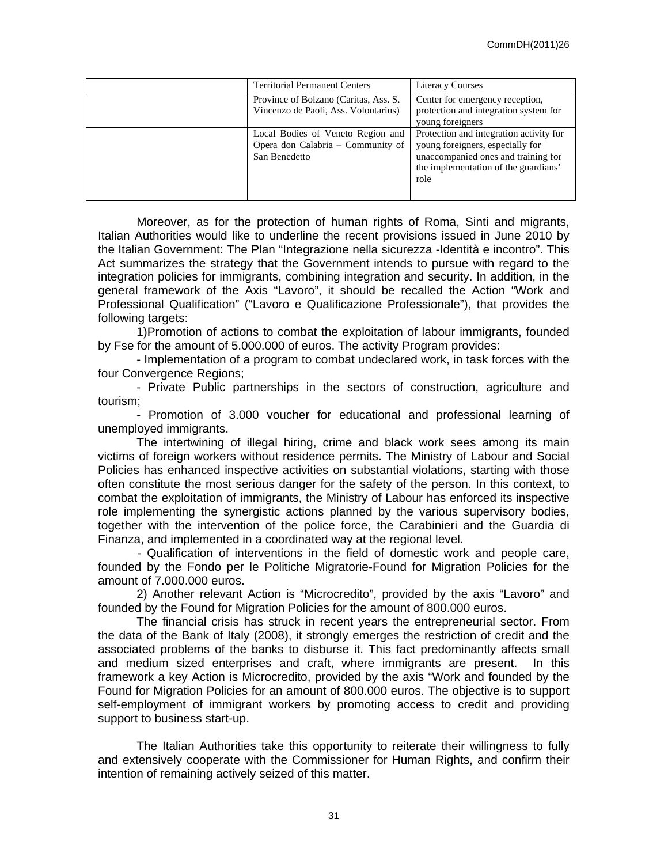| <b>Territorial Permanent Centers</b>                                                    | <b>Literacy Courses</b>                                                                                                                                            |
|-----------------------------------------------------------------------------------------|--------------------------------------------------------------------------------------------------------------------------------------------------------------------|
| Province of Bolzano (Caritas, Ass. S.<br>Vincenzo de Paoli, Ass. Volontarius)           | Center for emergency reception,<br>protection and integration system for<br>young foreigners                                                                       |
| Local Bodies of Veneto Region and<br>Opera don Calabria – Community of<br>San Benedetto | Protection and integration activity for<br>young foreigners, especially for<br>unaccompanied ones and training for<br>the implementation of the guardians'<br>role |

Moreover, as for the protection of human rights of Roma, Sinti and migrants, Italian Authorities would like to underline the recent provisions issued in June 2010 by the Italian Government: The Plan "Integrazione nella sicurezza -Identità e incontro". This Act summarizes the strategy that the Government intends to pursue with regard to the integration policies for immigrants, combining integration and security. In addition, in the general framework of the Axis "Lavoro", it should be recalled the Action "Work and Professional Qualification" ("Lavoro e Qualificazione Professionale"), that provides the following targets:

1)Promotion of actions to combat the exploitation of labour immigrants, founded by Fse for the amount of 5.000.000 of euros. The activity Program provides:

- Implementation of a program to combat undeclared work, in task forces with the four Convergence Regions;

- Private Public partnerships in the sectors of construction, agriculture and tourism;

- Promotion of 3.000 voucher for educational and professional learning of unemployed immigrants.

The intertwining of illegal hiring, crime and black work sees among its main victims of foreign workers without residence permits. The Ministry of Labour and Social Policies has enhanced inspective activities on substantial violations, starting with those often constitute the most serious danger for the safety of the person. In this context, to combat the exploitation of immigrants, the Ministry of Labour has enforced its inspective role implementing the synergistic actions planned by the various supervisory bodies, together with the intervention of the police force, the Carabinieri and the Guardia di Finanza, and implemented in a coordinated way at the regional level.

- Qualification of interventions in the field of domestic work and people care, founded by the Fondo per le Politiche Migratorie-Found for Migration Policies for the amount of 7.000.000 euros.

2) Another relevant Action is "Microcredito", provided by the axis "Lavoro" and founded by the Found for Migration Policies for the amount of 800.000 euros.

The financial crisis has struck in recent years the entrepreneurial sector. From the data of the Bank of Italy (2008), it strongly emerges the restriction of credit and the associated problems of the banks to disburse it. This fact predominantly affects small and medium sized enterprises and craft, where immigrants are present. In this framework a key Action is Microcredito, provided by the axis "Work and founded by the Found for Migration Policies for an amount of 800.000 euros. The objective is to support self-employment of immigrant workers by promoting access to credit and providing support to business start-up.

The Italian Authorities take this opportunity to reiterate their willingness to fully and extensively cooperate with the Commissioner for Human Rights, and confirm their intention of remaining actively seized of this matter.